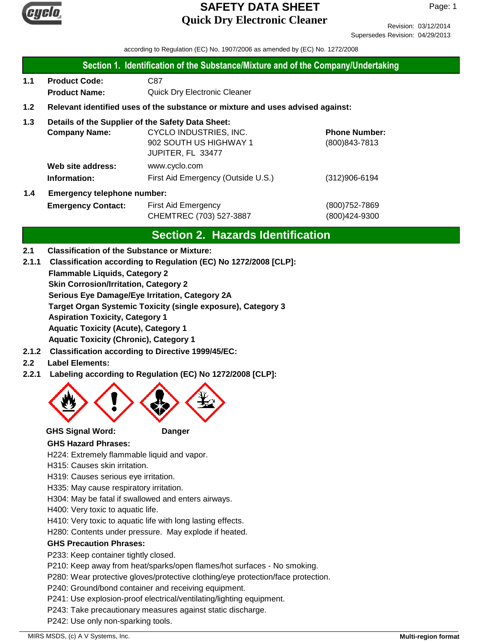

Revision: 03/12/2014 Supersedes Revision: 04/29/2013

according to Regulation (EC) No. 1907/2006 as amended by (EC) No. 1272/2008

| Section 1. Identification of the Substance/Mixture and of the Company/Undertaking |  |
|-----------------------------------------------------------------------------------|--|
|-----------------------------------------------------------------------------------|--|

- **1.1 Product Code:** C87 **Product Name:** Quick Dry Electronic Cleaner
- **1.2 Relevant identified uses of the substance or mixture and uses advised against:**
- **1.3 Details of the Supplier of the Safety Data Sheet:**

|     | <b>Company Name:</b>               | CYCLO INDUSTRIES, INC.             | <b>Phone Number:</b> |
|-----|------------------------------------|------------------------------------|----------------------|
|     |                                    | 902 SOUTH US HIGHWAY 1             | (800) 843-7813       |
|     |                                    | JUPITER, FL 33477                  |                      |
|     | Web site address:                  | www.cyclo.com                      |                      |
|     | Information:                       | First Aid Emergency (Outside U.S.) | $(312)906 - 6194$    |
| 1.4 | <b>Emergency telephone number:</b> |                                    |                      |

# **Emergency Contact:** First Aid Emergency **Emergency** (800)752-7869 CHEMTREC (703) 527-3887 (800)424-9300

## **Section 2. Hazards Identification**

- **2.1 Classification of the Substance or Mixture:**
- **2.1.1 Classification according to Regulation (EC) No 1272/2008 [CLP]:**
	- **Flammable Liquids, Category 2**

**Skin Corrosion/Irritation, Category 2**

**Serious Eye Damage/Eye Irritation, Category 2A**

**Target Organ Systemic Toxicity (single exposure), Category 3**

**Aspiration Toxicity, Category 1**

**Aquatic Toxicity (Acute), Category 1**

**Aquatic Toxicity (Chronic), Category 1**

- **2.1.2 Classification according to Directive 1999/45/EC:**
- **2.2 Label Elements:**
- **2.2.1 Labeling according to Regulation (EC) No 1272/2008 [CLP]:**



**GHS Signal Word: Danger**

#### **GHS Hazard Phrases:**

H224: Extremely flammable liquid and vapor.

H315: Causes skin irritation.

- H319: Causes serious eye irritation.
- H335: May cause respiratory irritation.
- H304: May be fatal if swallowed and enters airways.

H400: Very toxic to aquatic life.

- H410: Very toxic to aquatic life with long lasting effects.
- H280: Contents under pressure. May explode if heated.

#### **GHS Precaution Phrases:**

P233: Keep container tightly closed.

P210: Keep away from heat/sparks/open flames/hot surfaces - No smoking.

P280: Wear protective gloves/protective clothing/eye protection/face protection.

P240: Ground/bond container and receiving equipment.

P241: Use explosion-proof electrical/ventilating/lighting equipment.

P243: Take precautionary measures against static discharge.

P242: Use only non-sparking tools.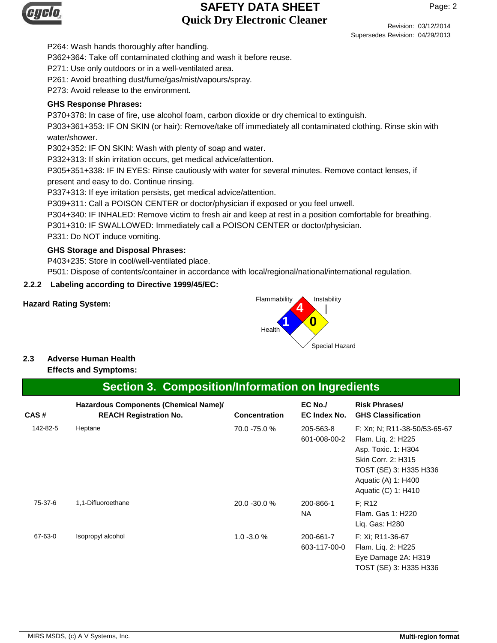

Revision: 03/12/2014 Supersedes Revision: 04/29/2013

P264: Wash hands thoroughly after handling.

P362+364: Take off contaminated clothing and wash it before reuse.

P271: Use only outdoors or in a well-ventilated area.

P261: Avoid breathing dust/fume/gas/mist/vapours/spray.

P273: Avoid release to the environment.

#### **GHS Response Phrases:**

P370+378: In case of fire, use alcohol foam, carbon dioxide or dry chemical to extinguish.

P303+361+353: IF ON SKIN (or hair): Remove/take off immediately all contaminated clothing. Rinse skin with water/shower.

P302+352: IF ON SKIN: Wash with plenty of soap and water.

P332+313: If skin irritation occurs, get medical advice/attention.

P305+351+338: IF IN EYES: Rinse cautiously with water for several minutes. Remove contact lenses, if present and easy to do. Continue rinsing.

P337+313: If eye irritation persists, get medical advice/attention.

P309+311: Call a POISON CENTER or doctor/physician if exposed or you feel unwell.

P304+340: IF INHALED: Remove victim to fresh air and keep at rest in a position comfortable for breathing.

P301+310: IF SWALLOWED: Immediately call a POISON CENTER or doctor/physician.

P331: Do NOT induce vomiting.

#### **GHS Storage and Disposal Phrases:**

P403+235: Store in cool/well-ventilated place.

P501: Dispose of contents/container in accordance with local/regional/national/international regulation.

#### **2.2.2 Labeling according to Directive 1999/45/EC:**



# **2.3 Adverse Human Health**

**Effects and Symptoms:**

#### **Section 3. Composition/Information on Ingredients**

| CAS#     | Hazardous Components (Chemical Name)/<br><b>REACH Registration No.</b> | <b>Concentration</b> | EC No./<br><b>EC Index No.</b> | <b>Risk Phrases/</b><br><b>GHS Classification</b>                                                                                                                       |
|----------|------------------------------------------------------------------------|----------------------|--------------------------------|-------------------------------------------------------------------------------------------------------------------------------------------------------------------------|
| 142-82-5 | Heptane                                                                | 70.0 -75.0 %         | 205-563-8<br>601-008-00-2      | F: Xn: N: R11-38-50/53-65-67<br>Flam. Liq. 2: H225<br>Asp. Toxic. 1: H304<br>Skin Corr. 2: H315<br>TOST (SE) 3: H335 H336<br>Aquatic (A) 1: H400<br>Aquatic (C) 1: H410 |
| 75-37-6  | 1,1-Difluoroethane                                                     | 20.0 - 30.0 %        | 200-866-1<br>NA.               | F: R12<br>Flam. Gas 1: H220<br>Lig. Gas: H280                                                                                                                           |
| 67-63-0  | Isopropyl alcohol                                                      | $1.0 - 3.0 %$        | 200-661-7<br>603-117-00-0      | F: Xi: R11-36-67<br>Flam. Liq. 2: H225<br>Eye Damage 2A: H319<br>TOST (SE) 3: H335 H336                                                                                 |

MIRS MSDS, (c) A V Systems, Inc. **Multi-region format Multi-region format Multi-region format**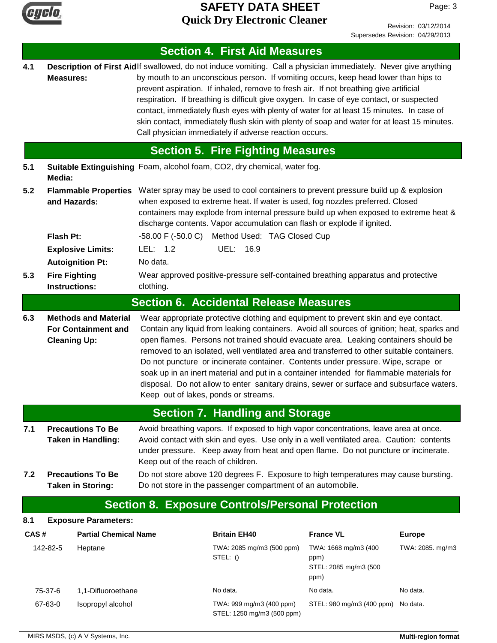

Page: 3

|            |                                              |                                                                                   |                                                                                                                                                                                                                                                                                                                                                                                                    | <b>Section 4. First Aid Measures</b>                                                                                                                                                                                                                                                                                                                                                                                                                                                                                                                                                                                                                 |                                                               |                  |
|------------|----------------------------------------------|-----------------------------------------------------------------------------------|----------------------------------------------------------------------------------------------------------------------------------------------------------------------------------------------------------------------------------------------------------------------------------------------------------------------------------------------------------------------------------------------------|------------------------------------------------------------------------------------------------------------------------------------------------------------------------------------------------------------------------------------------------------------------------------------------------------------------------------------------------------------------------------------------------------------------------------------------------------------------------------------------------------------------------------------------------------------------------------------------------------------------------------------------------------|---------------------------------------------------------------|------------------|
| 4.1        | <b>Measures:</b>                             |                                                                                   |                                                                                                                                                                                                                                                                                                                                                                                                    | Description of First Aidlf swallowed, do not induce vomiting. Call a physician immediately. Never give anything<br>by mouth to an unconscious person. If vomiting occurs, keep head lower than hips to<br>prevent aspiration. If inhaled, remove to fresh air. If not breathing give artificial<br>respiration. If breathing is difficult give oxygen. In case of eye contact, or suspected<br>contact, immediately flush eyes with plenty of water for at least 15 minutes. In case of<br>skin contact, immediately flush skin with plenty of soap and water for at least 15 minutes.<br>Call physician immediately if adverse reaction occurs.     |                                                               |                  |
|            |                                              |                                                                                   |                                                                                                                                                                                                                                                                                                                                                                                                    | <b>Section 5. Fire Fighting Measures</b>                                                                                                                                                                                                                                                                                                                                                                                                                                                                                                                                                                                                             |                                                               |                  |
| 5.1        | Media:                                       |                                                                                   |                                                                                                                                                                                                                                                                                                                                                                                                    | Suitable Extinguishing Foam, alcohol foam, CO2, dry chemical, water fog.                                                                                                                                                                                                                                                                                                                                                                                                                                                                                                                                                                             |                                                               |                  |
| 5.2        | and Hazards:                                 | <b>Flammable Properties</b>                                                       |                                                                                                                                                                                                                                                                                                                                                                                                    | Water spray may be used to cool containers to prevent pressure build up & explosion<br>when exposed to extreme heat. If water is used, fog nozzles preferred. Closed<br>containers may explode from internal pressure build up when exposed to extreme heat &<br>discharge contents. Vapor accumulation can flash or explode if ignited.                                                                                                                                                                                                                                                                                                             |                                                               |                  |
|            | Flash Pt:                                    |                                                                                   |                                                                                                                                                                                                                                                                                                                                                                                                    | -58.00 F (-50.0 C) Method Used: TAG Closed Cup                                                                                                                                                                                                                                                                                                                                                                                                                                                                                                                                                                                                       |                                                               |                  |
|            |                                              | <b>Explosive Limits:</b>                                                          | LEL: $1.2$                                                                                                                                                                                                                                                                                                                                                                                         | UEL: 16.9                                                                                                                                                                                                                                                                                                                                                                                                                                                                                                                                                                                                                                            |                                                               |                  |
|            |                                              | <b>Autoignition Pt:</b>                                                           | No data.                                                                                                                                                                                                                                                                                                                                                                                           |                                                                                                                                                                                                                                                                                                                                                                                                                                                                                                                                                                                                                                                      |                                                               |                  |
| 5.3        | <b>Fire Fighting</b><br><b>Instructions:</b> |                                                                                   | clothing.                                                                                                                                                                                                                                                                                                                                                                                          | Wear approved positive-pressure self-contained breathing apparatus and protective                                                                                                                                                                                                                                                                                                                                                                                                                                                                                                                                                                    |                                                               |                  |
|            |                                              |                                                                                   |                                                                                                                                                                                                                                                                                                                                                                                                    | <b>Section 6. Accidental Release Measures</b>                                                                                                                                                                                                                                                                                                                                                                                                                                                                                                                                                                                                        |                                                               |                  |
| 6.3        | <b>Cleaning Up:</b>                          | <b>Methods and Material</b><br><b>For Containment and</b>                         | Keep out of lakes, ponds or streams.                                                                                                                                                                                                                                                                                                                                                               | Wear appropriate protective clothing and equipment to prevent skin and eye contact.<br>Contain any liquid from leaking containers. Avoid all sources of ignition; heat, sparks and<br>open flames. Persons not trained should evacuate area. Leaking containers should be<br>removed to an isolated, well ventilated area and transferred to other suitable containers.<br>Do not puncture or incinerate container. Contents under pressure. Wipe, scrape or<br>soak up in an inert material and put in a container intended for flammable materials for<br>disposal. Do not allow to enter sanitary drains, sewer or surface and subsurface waters. |                                                               |                  |
|            |                                              |                                                                                   |                                                                                                                                                                                                                                                                                                                                                                                                    | <b>Section 7. Handling and Storage</b>                                                                                                                                                                                                                                                                                                                                                                                                                                                                                                                                                                                                               |                                                               |                  |
| 7.1<br>7.2 |                                              | <b>Precautions To Be</b><br><b>Taken in Handling:</b><br><b>Precautions To Be</b> | Avoid breathing vapors. If exposed to high vapor concentrations, leave area at once.<br>Avoid contact with skin and eyes. Use only in a well ventilated area. Caution: contents<br>under pressure. Keep away from heat and open flame. Do not puncture or incinerate.<br>Keep out of the reach of children.<br>Do not store above 120 degrees F. Exposure to high temperatures may cause bursting. |                                                                                                                                                                                                                                                                                                                                                                                                                                                                                                                                                                                                                                                      |                                                               |                  |
|            |                                              | <b>Taken in Storing:</b>                                                          |                                                                                                                                                                                                                                                                                                                                                                                                    | Do not store in the passenger compartment of an automobile.                                                                                                                                                                                                                                                                                                                                                                                                                                                                                                                                                                                          |                                                               |                  |
|            |                                              |                                                                                   |                                                                                                                                                                                                                                                                                                                                                                                                    | <b>Section 8. Exposure Controls/Personal Protection</b>                                                                                                                                                                                                                                                                                                                                                                                                                                                                                                                                                                                              |                                                               |                  |
| 8.1        |                                              | <b>Exposure Parameters:</b>                                                       |                                                                                                                                                                                                                                                                                                                                                                                                    |                                                                                                                                                                                                                                                                                                                                                                                                                                                                                                                                                                                                                                                      |                                                               |                  |
| CAS#       |                                              | <b>Partial Chemical Name</b>                                                      |                                                                                                                                                                                                                                                                                                                                                                                                    | <b>Britain EH40</b>                                                                                                                                                                                                                                                                                                                                                                                                                                                                                                                                                                                                                                  | <b>France VL</b>                                              | <b>Europe</b>    |
|            | 142-82-5                                     | Heptane                                                                           |                                                                                                                                                                                                                                                                                                                                                                                                    | TWA: 2085 mg/m3 (500 ppm)<br>STEL: ()                                                                                                                                                                                                                                                                                                                                                                                                                                                                                                                                                                                                                | TWA: 1668 mg/m3 (400<br>ppm)<br>STEL: 2085 mg/m3 (500<br>ppm) | TWA: 2085. mg/m3 |
|            | 75-37-6                                      | 1,1-Difluoroethane                                                                |                                                                                                                                                                                                                                                                                                                                                                                                    | No data.                                                                                                                                                                                                                                                                                                                                                                                                                                                                                                                                                                                                                                             | No data.                                                      | No data.         |
|            | 67-63-0                                      | Isopropyl alcohol                                                                 |                                                                                                                                                                                                                                                                                                                                                                                                    | TWA: 999 mg/m3 (400 ppm)<br>STEL: 1250 mg/m3 (500 ppm)                                                                                                                                                                                                                                                                                                                                                                                                                                                                                                                                                                                               | STEL: 980 mg/m3 (400 ppm)                                     | No data.         |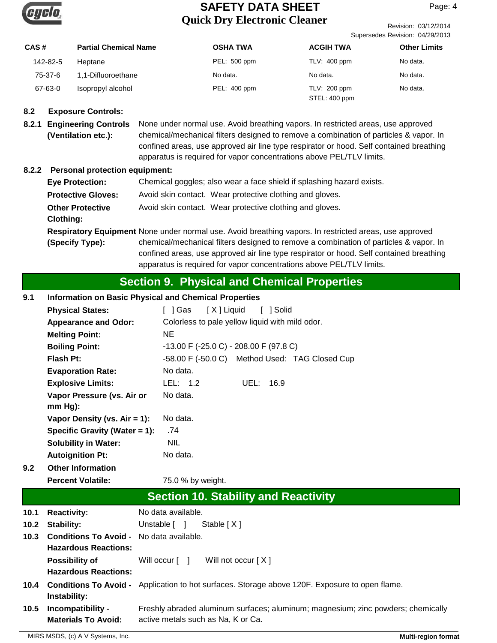

Revision: 03/12/2014 Supersedes Revision: 04/29/2013

| CAS#     | <b>Partial Chemical Name</b> | <b>OSHA TWA</b> | <b>ACGIH TWA</b> | <b>Other Limits</b> |
|----------|------------------------------|-----------------|------------------|---------------------|
| 142-82-5 | Heptane                      | PEL: 500 ppm    | $TLV: 400$ ppm   | No data.            |
| 75-37-6  | 1,1-Difluoroethane           | No data.        | No data.         | No data.            |
| 67-63-0  | Isopropyl alcohol            | PEL: 400 ppm    | TLV: 200 ppm     | No data.            |
|          |                              |                 | STEL: 400 ppm    |                     |

#### **8.2 Exposure Controls:**

**8.2.1 Engineering Controls** None under normal use. Avoid breathing vapors. In restricted areas, use approved chemical/mechanical filters designed to remove a combination of particles & vapor. In confined areas, use approved air line type respirator or hood. Self contained breathing apparatus is required for vapor concentrations above PEL/TLV limits. **(Ventilation etc.):**

#### **8.2.2 Personal protection equipment:**

| <b>Eye Protection:</b>    | Chemical goggles; also wear a face shield if splashing hazard exists.                                  |
|---------------------------|--------------------------------------------------------------------------------------------------------|
| <b>Protective Gloves:</b> | Avoid skin contact. Wear protective clothing and gloves.                                               |
| <b>Other Protective</b>   | Avoid skin contact. Wear protective clothing and gloves.                                               |
| <b>Clothing:</b>          |                                                                                                        |
|                           | Respiratory Equipment None under normal use. Avoid breathing vapors. In restricted areas, use approved |
| (Specify Type):           | chemical/mechanical filters designed to remove a combination of particles & vapor. In                  |
|                           | confined areas, use approved air line type respirator or hood. Self contained breathing                |
|                           |                                                                                                        |

## **Section 9. Physical and Chemical Properties**

apparatus is required for vapor concentrations above PEL/TLV limits.

| 9.1  | <b>Information on Basic Physical and Chemical Properties</b> |                                                 |
|------|--------------------------------------------------------------|-------------------------------------------------|
|      | <b>Physical States:</b>                                      | [ X ] Liquid<br>[ 1Gas<br>[ ] Solid             |
|      | <b>Appearance and Odor:</b>                                  | Colorless to pale yellow liquid with mild odor. |
|      | <b>Melting Point:</b>                                        | NE.                                             |
|      | <b>Boiling Point:</b>                                        | $-13.00$ F ( $-25.0$ C) $-208.00$ F (97.8 C)    |
|      | Flash Pt:                                                    | -58.00 F (-50.0 C) Method Used: TAG Closed Cup  |
|      | <b>Evaporation Rate:</b>                                     | No data.                                        |
|      | <b>Explosive Limits:</b>                                     | LEL: 1.2<br>UEL: 16.9                           |
|      | Vapor Pressure (vs. Air or                                   | No data.                                        |
|      | $mm Hg$ :                                                    |                                                 |
|      | Vapor Density (vs. $Air = 1$ ):                              | No data.                                        |
|      | Specific Gravity (Water $= 1$ ):                             | .74                                             |
|      | <b>Solubility in Water:</b>                                  | <b>NIL</b>                                      |
|      | <b>Autoignition Pt:</b>                                      | No data.                                        |
| 9.2  | <b>Other Information</b>                                     |                                                 |
|      | <b>Percent Volatile:</b>                                     | 75.0 % by weight.                               |
|      |                                                              | <b>Section 10. Stability and Reactivity</b>     |
| 10.1 | <b>Reactivity:</b>                                           | No data available.                              |

|                   | 10.1 Reactivity:                                                               | No data avallable.                                                                                                     |
|-------------------|--------------------------------------------------------------------------------|------------------------------------------------------------------------------------------------------------------------|
| 10.2 <sub>1</sub> | Stability:                                                                     | Unstable [ ]<br>Stable [X]                                                                                             |
| 10.3              | <b>Conditions To Avoid -</b> No data available.<br><b>Hazardous Reactions:</b> |                                                                                                                        |
|                   | <b>Possibility of</b><br><b>Hazardous Reactions:</b>                           | Will occur [ ]<br>Will not occur [X]                                                                                   |
| 10.4              | <b>Conditions To Avoid -</b><br>Instability:                                   | Application to hot surfaces. Storage above 120F. Exposure to open flame.                                               |
| 10.5              | Incompatibility -<br><b>Materials To Avoid:</b>                                | Freshly abraded aluminum surfaces; aluminum; magnesium; zinc powders; chemically<br>active metals such as Na, K or Ca. |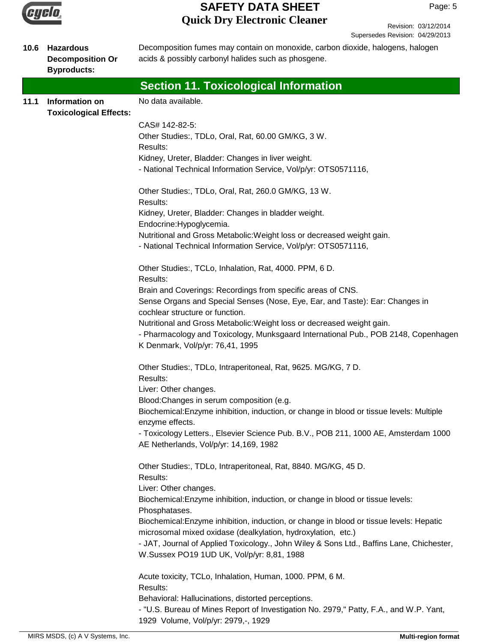

Revision: 03/12/2014 Supersedes Revision: 04/29/2013

| 10.6 | <b>Hazardous</b><br><b>Decomposition Or</b><br><b>Byproducts:</b> | Decomposition fumes may contain on monoxide, carbon dioxide, halogens, halogen<br>acids & possibly carbonyl halides such as phosgene.  |
|------|-------------------------------------------------------------------|----------------------------------------------------------------------------------------------------------------------------------------|
|      |                                                                   | <b>Section 11. Toxicological Information</b>                                                                                           |
| 11.1 | <b>Information on</b><br><b>Toxicological Effects:</b>            | No data available.                                                                                                                     |
|      |                                                                   | CAS# 142-82-5:                                                                                                                         |
|      |                                                                   | Other Studies:, TDLo, Oral, Rat, 60.00 GM/KG, 3 W.                                                                                     |
|      |                                                                   | Results:                                                                                                                               |
|      |                                                                   | Kidney, Ureter, Bladder: Changes in liver weight.<br>- National Technical Information Service, Vol/p/yr: OTS0571116,                   |
|      |                                                                   | Other Studies:, TDLo, Oral, Rat, 260.0 GM/KG, 13 W.<br>Results:                                                                        |
|      |                                                                   | Kidney, Ureter, Bladder: Changes in bladder weight.                                                                                    |
|      |                                                                   | Endocrine: Hypoglycemia.                                                                                                               |
|      |                                                                   | Nutritional and Gross Metabolic: Weight loss or decreased weight gain.                                                                 |
|      |                                                                   | - National Technical Information Service, Vol/p/yr: OTS0571116,                                                                        |
|      |                                                                   | Other Studies:, TCLo, Inhalation, Rat, 4000. PPM, 6 D.<br>Results:                                                                     |
|      |                                                                   | Brain and Coverings: Recordings from specific areas of CNS.                                                                            |
|      |                                                                   | Sense Organs and Special Senses (Nose, Eye, Ear, and Taste): Ear: Changes in<br>cochlear structure or function.                        |
|      |                                                                   | Nutritional and Gross Metabolic: Weight loss or decreased weight gain.                                                                 |
|      |                                                                   | - Pharmacology and Toxicology, Munksgaard International Pub., POB 2148, Copenhagen                                                     |
|      |                                                                   | K Denmark, Vol/p/yr: 76,41, 1995                                                                                                       |
|      |                                                                   | Other Studies:, TDLo, Intraperitoneal, Rat, 9625. MG/KG, 7 D.<br>Results:                                                              |
|      |                                                                   | Liver: Other changes.                                                                                                                  |
|      |                                                                   | Blood: Changes in serum composition (e.g.                                                                                              |
|      |                                                                   | Biochemical: Enzyme inhibition, induction, or change in blood or tissue levels: Multiple<br>enzyme effects.                            |
|      |                                                                   | - Toxicology Letters., Elsevier Science Pub. B.V., POB 211, 1000 AE, Amsterdam 1000<br>AE Netherlands, Vol/p/yr: 14,169, 1982          |
|      |                                                                   | Other Studies:, TDLo, Intraperitoneal, Rat, 8840. MG/KG, 45 D.<br>Results:                                                             |
|      |                                                                   | Liver: Other changes.                                                                                                                  |
|      |                                                                   | Biochemical: Enzyme inhibition, induction, or change in blood or tissue levels:                                                        |
|      |                                                                   | Phosphatases.                                                                                                                          |
|      |                                                                   | Biochemical: Enzyme inhibition, induction, or change in blood or tissue levels: Hepatic                                                |
|      |                                                                   | microsomal mixed oxidase (dealkylation, hydroxylation, etc.)                                                                           |
|      |                                                                   | - JAT, Journal of Applied Toxicology., John Wiley & Sons Ltd., Baffins Lane, Chichester,<br>W.Sussex PO19 1UD UK, Vol/p/yr: 8,81, 1988 |
|      |                                                                   | Acute toxicity, TCLo, Inhalation, Human, 1000. PPM, 6 M.<br>Results:                                                                   |
|      |                                                                   | Behavioral: Hallucinations, distorted perceptions.                                                                                     |
|      |                                                                   | - "U.S. Bureau of Mines Report of Investigation No. 2979," Patty, F.A., and W.P. Yant,<br>1929 Volume, Vol/p/yr: 2979,-, 1929          |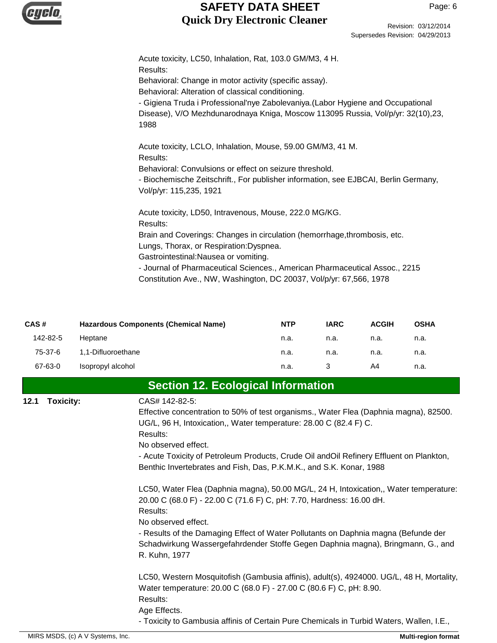

| CAS#     | <b>Hazardous Components (Chemical Name)</b> | <b>NTP</b> | <b>IARC</b> | <b>ACGIH</b> | <b>OSHA</b> |
|----------|---------------------------------------------|------------|-------------|--------------|-------------|
| 142-82-5 | Heptane                                     | n.a.       | n.a.        | n.a.         | n.a.        |
| 75-37-6  | 1,1-Difluoroethane                          | n.a.       | n.a.        | n.a.         | n.a.        |
| 67-63-0  | Isopropyl alcohol                           | n.a.       |             | A4           | n.a.        |

**Section 12. Ecological Information**

| 12.1 | <b>Toxicity:</b> | CAS# 142-82-5:                                                                           |
|------|------------------|------------------------------------------------------------------------------------------|
|      |                  | Effective concentration to 50% of test organisms., Water Flea (Daphnia magna), 82500.    |
|      |                  | UG/L, 96 H, Intoxication,, Water temperature: 28.00 C (82.4 F) C.                        |
|      |                  | Results:                                                                                 |
|      |                  | No observed effect.                                                                      |
|      |                  | - Acute Toxicity of Petroleum Products, Crude Oil and Oil Refinery Effluent on Plankton, |
|      |                  | Benthic Invertebrates and Fish, Das, P.K.M.K., and S.K. Konar, 1988                      |
|      |                  | LC50, Water Flea (Daphnia magna), 50.00 MG/L, 24 H, Intoxication,, Water temperature:    |
|      |                  | 20.00 C (68.0 F) - 22.00 C (71.6 F) C, pH: 7.70, Hardness: 16.00 dH.                     |
|      |                  | Results:                                                                                 |
|      |                  | No observed effect.                                                                      |
|      |                  | - Results of the Damaging Effect of Water Pollutants on Daphnia magna (Befunde der       |
|      |                  | Schadwirkung Wassergefahrdender Stoffe Gegen Daphnia magna), Bringmann, G., and          |
|      |                  | R. Kuhn, 1977                                                                            |
|      |                  | LC50, Western Mosquitofish (Gambusia affinis), adult(s), 4924000. UG/L, 48 H, Mortality, |
|      |                  | Water temperature: 20.00 C (68.0 F) - 27.00 C (80.6 F) C, pH: 8.90.                      |
|      |                  | Results:                                                                                 |
|      |                  | Age Effects.                                                                             |

- Toxicity to Gambusia affinis of Certain Pure Chemicals in Turbid Waters, Wallen, I.E.,

Revision: 03/12/2014

Supersedes Revision: 04/29/2013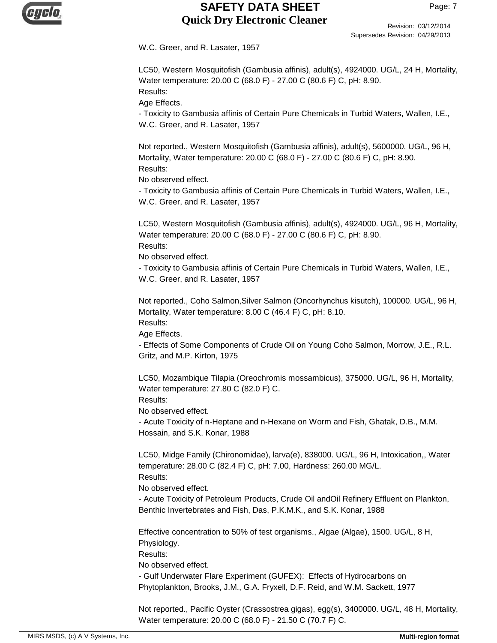

Revision: 03/12/2014 Supersedes Revision: 04/29/2013

W.C. Greer, and R. Lasater, 1957

LC50, Western Mosquitofish (Gambusia affinis), adult(s), 4924000. UG/L, 24 H, Mortality, Water temperature: 20.00 C (68.0 F) - 27.00 C (80.6 F) C, pH: 8.90. Results:

Age Effects.

- Toxicity to Gambusia affinis of Certain Pure Chemicals in Turbid Waters, Wallen, I.E., W.C. Greer, and R. Lasater, 1957

Not reported., Western Mosquitofish (Gambusia affinis), adult(s), 5600000. UG/L, 96 H, Mortality, Water temperature: 20.00 C (68.0 F) - 27.00 C (80.6 F) C, pH: 8.90. Results:

No observed effect.

- Toxicity to Gambusia affinis of Certain Pure Chemicals in Turbid Waters, Wallen, I.E., W.C. Greer, and R. Lasater, 1957

LC50, Western Mosquitofish (Gambusia affinis), adult(s), 4924000. UG/L, 96 H, Mortality, Water temperature: 20.00 C (68.0 F) - 27.00 C (80.6 F) C, pH: 8.90. Results:

No observed effect.

- Toxicity to Gambusia affinis of Certain Pure Chemicals in Turbid Waters, Wallen, I.E., W.C. Greer, and R. Lasater, 1957

Not reported., Coho Salmon,Silver Salmon (Oncorhynchus kisutch), 100000. UG/L, 96 H, Mortality, Water temperature: 8.00 C (46.4 F) C, pH: 8.10.

Results: Age Effects.

- Effects of Some Components of Crude Oil on Young Coho Salmon, Morrow, J.E., R.L. Gritz, and M.P. Kirton, 1975

LC50, Mozambique Tilapia (Oreochromis mossambicus), 375000. UG/L, 96 H, Mortality, Water temperature: 27.80 C (82.0 F) C.

Results:

No observed effect.

- Acute Toxicity of n-Heptane and n-Hexane on Worm and Fish, Ghatak, D.B., M.M. Hossain, and S.K. Konar, 1988

LC50, Midge Family (Chironomidae), larva(e), 838000. UG/L, 96 H, Intoxication,, Water temperature: 28.00 C (82.4 F) C, pH: 7.00, Hardness: 260.00 MG/L. Results:

No observed effect.

- Acute Toxicity of Petroleum Products, Crude Oil andOil Refinery Effluent on Plankton, Benthic Invertebrates and Fish, Das, P.K.M.K., and S.K. Konar, 1988

Effective concentration to 50% of test organisms., Algae (Algae), 1500. UG/L, 8 H, Physiology.

Results:

No observed effect.

- Gulf Underwater Flare Experiment (GUFEX): Effects of Hydrocarbons on Phytoplankton, Brooks, J.M., G.A. Fryxell, D.F. Reid, and W.M. Sackett, 1977

Not reported., Pacific Oyster (Crassostrea gigas), egg(s), 3400000. UG/L, 48 H, Mortality, Water temperature: 20.00 C (68.0 F) - 21.50 C (70.7 F) C.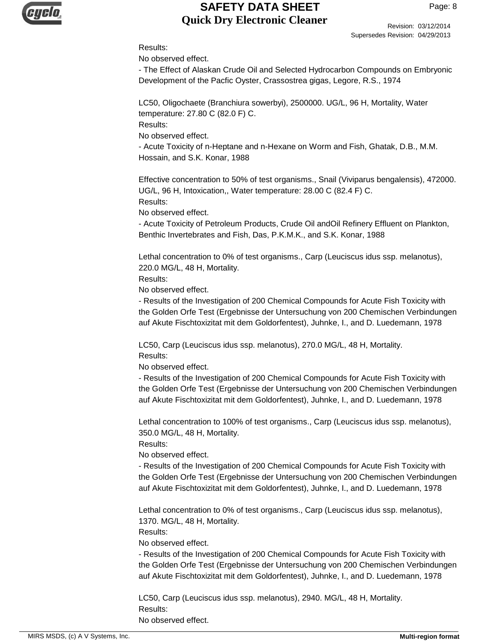

Revision: 03/12/2014 Supersedes Revision: 04/29/2013

#### Results:

No observed effect.

- The Effect of Alaskan Crude Oil and Selected Hydrocarbon Compounds on Embryonic Development of the Pacfic Oyster, Crassostrea gigas, Legore, R.S., 1974

LC50, Oligochaete (Branchiura sowerbyi), 2500000. UG/L, 96 H, Mortality, Water temperature: 27.80 C (82.0 F) C.

Results:

No observed effect.

- Acute Toxicity of n-Heptane and n-Hexane on Worm and Fish, Ghatak, D.B., M.M. Hossain, and S.K. Konar, 1988

Effective concentration to 50% of test organisms., Snail (Viviparus bengalensis), 472000. UG/L, 96 H, Intoxication,, Water temperature: 28.00 C (82.4 F) C. Results:

No observed effect.

- Acute Toxicity of Petroleum Products, Crude Oil andOil Refinery Effluent on Plankton, Benthic Invertebrates and Fish, Das, P.K.M.K., and S.K. Konar, 1988

Lethal concentration to 0% of test organisms., Carp (Leuciscus idus ssp. melanotus), 220.0 MG/L, 48 H, Mortality.

Results:

No observed effect.

- Results of the Investigation of 200 Chemical Compounds for Acute Fish Toxicity with the Golden Orfe Test (Ergebnisse der Untersuchung von 200 Chemischen Verbindungen auf Akute Fischtoxizitat mit dem Goldorfentest), Juhnke, I., and D. Luedemann, 1978

LC50, Carp (Leuciscus idus ssp. melanotus), 270.0 MG/L, 48 H, Mortality. Results:

No observed effect.

- Results of the Investigation of 200 Chemical Compounds for Acute Fish Toxicity with the Golden Orfe Test (Ergebnisse der Untersuchung von 200 Chemischen Verbindungen auf Akute Fischtoxizitat mit dem Goldorfentest), Juhnke, I., and D. Luedemann, 1978

Lethal concentration to 100% of test organisms., Carp (Leuciscus idus ssp. melanotus), 350.0 MG/L, 48 H, Mortality.

Results:

No observed effect.

- Results of the Investigation of 200 Chemical Compounds for Acute Fish Toxicity with the Golden Orfe Test (Ergebnisse der Untersuchung von 200 Chemischen Verbindungen auf Akute Fischtoxizitat mit dem Goldorfentest), Juhnke, I., and D. Luedemann, 1978

Lethal concentration to 0% of test organisms., Carp (Leuciscus idus ssp. melanotus), 1370. MG/L, 48 H, Mortality.

Results:

No observed effect.

- Results of the Investigation of 200 Chemical Compounds for Acute Fish Toxicity with the Golden Orfe Test (Ergebnisse der Untersuchung von 200 Chemischen Verbindungen auf Akute Fischtoxizitat mit dem Goldorfentest), Juhnke, I., and D. Luedemann, 1978

LC50, Carp (Leuciscus idus ssp. melanotus), 2940. MG/L, 48 H, Mortality. Results: No observed effect.

MIRS MSDS, (c) A V Systems, Inc. **Multi-region format Multi-region format Multi-region format**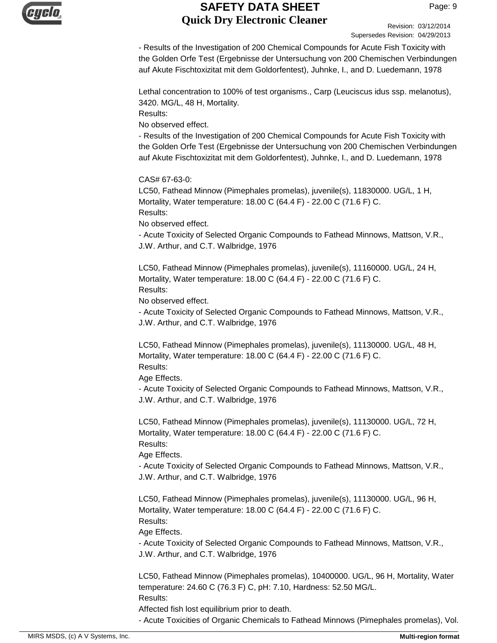

Revision: 03/12/2014 Supersedes Revision: 04/29/2013

- Results of the Investigation of 200 Chemical Compounds for Acute Fish Toxicity with the Golden Orfe Test (Ergebnisse der Untersuchung von 200 Chemischen Verbindungen auf Akute Fischtoxizitat mit dem Goldorfentest), Juhnke, I., and D. Luedemann, 1978

Lethal concentration to 100% of test organisms., Carp (Leuciscus idus ssp. melanotus), 3420. MG/L, 48 H, Mortality.

Results:

No observed effect.

- Results of the Investigation of 200 Chemical Compounds for Acute Fish Toxicity with the Golden Orfe Test (Ergebnisse der Untersuchung von 200 Chemischen Verbindungen auf Akute Fischtoxizitat mit dem Goldorfentest), Juhnke, I., and D. Luedemann, 1978

CAS# 67-63-0:

LC50, Fathead Minnow (Pimephales promelas), juvenile(s), 11830000. UG/L, 1 H, Mortality, Water temperature: 18.00 C (64.4 F) - 22.00 C (71.6 F) C. Results:

No observed effect.

- Acute Toxicity of Selected Organic Compounds to Fathead Minnows, Mattson, V.R., J.W. Arthur, and C.T. Walbridge, 1976

LC50, Fathead Minnow (Pimephales promelas), juvenile(s), 11160000. UG/L, 24 H, Mortality, Water temperature: 18.00 C (64.4 F) - 22.00 C (71.6 F) C. Results:

No observed effect.

- Acute Toxicity of Selected Organic Compounds to Fathead Minnows, Mattson, V.R., J.W. Arthur, and C.T. Walbridge, 1976

LC50, Fathead Minnow (Pimephales promelas), juvenile(s), 11130000. UG/L, 48 H, Mortality, Water temperature: 18.00 C (64.4 F) - 22.00 C (71.6 F) C. Results:

Age Effects.

- Acute Toxicity of Selected Organic Compounds to Fathead Minnows, Mattson, V.R., J.W. Arthur, and C.T. Walbridge, 1976

LC50, Fathead Minnow (Pimephales promelas), juvenile(s), 11130000. UG/L, 72 H, Mortality, Water temperature: 18.00 C (64.4 F) - 22.00 C (71.6 F) C. Results:

Age Effects.

- Acute Toxicity of Selected Organic Compounds to Fathead Minnows, Mattson, V.R., J.W. Arthur, and C.T. Walbridge, 1976

LC50, Fathead Minnow (Pimephales promelas), juvenile(s), 11130000. UG/L, 96 H, Mortality, Water temperature: 18.00 C (64.4 F) - 22.00 C (71.6 F) C. Results: Age Effects.

- Acute Toxicity of Selected Organic Compounds to Fathead Minnows, Mattson, V.R., J.W. Arthur, and C.T. Walbridge, 1976

LC50, Fathead Minnow (Pimephales promelas), 10400000. UG/L, 96 H, Mortality, Water temperature: 24.60 C (76.3 F) C, pH: 7.10, Hardness: 52.50 MG/L. Results:

Affected fish lost equilibrium prior to death.

- Acute Toxicities of Organic Chemicals to Fathead Minnows (Pimephales promelas), Vol.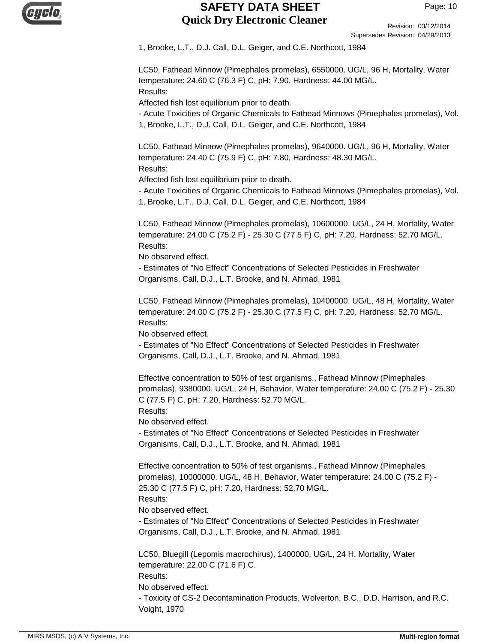

Revision: 03/12/2014 Supersedes Revision: 04/29/2013

1, Brooke, L.T., D.J. Call, D.L. Geiger, and C.E. Northcott, 1984

LC50, Fathead Minnow (Pimephales promelas), 6550000. UG/L, 96 H, Mortality, Water temperature: 24.60 C (76.3 F) C, pH: 7.90, Hardness: 44.00 MG/L. Results:

Affected fish lost equilibrium prior to death.

- Acute Toxicities of Organic Chemicals to Fathead Minnows (Pimephales promelas), Vol. 1, Brooke, L.T., D.J. Call, D.L. Geiger, and C.E. Northcott, 1984

LC50, Fathead Minnow (Pimephales promelas), 9640000. UG/L, 96 H, Mortality, Water temperature: 24.40 C (75.9 F) C, pH: 7.80, Hardness: 48.30 MG/L. Results:

Affected fish lost equilibrium prior to death.

- Acute Toxicities of Organic Chemicals to Fathead Minnows (Pimephales promelas), Vol. 1, Brooke, L.T., D.J. Call, D.L. Geiger, and C.E. Northcott, 1984

LC50, Fathead Minnow (Pimephales promelas), 10600000. UG/L, 24 H, Mortality, Water temperature: 24.00 C (75.2 F) - 25.30 C (77.5 F) C, pH: 7.20, Hardness: 52.70 MG/L. Results:

No observed effect.

- Estimates of "No Effect" Concentrations of Selected Pesticides in Freshwater Organisms, Call, D.J., L.T. Brooke, and N. Ahmad, 1981

LC50, Fathead Minnow (Pimephales promelas), 10400000. UG/L, 48 H, Mortality, Water temperature: 24.00 C (75.2 F) - 25.30 C (77.5 F) C, pH: 7.20, Hardness: 52.70 MG/L. Results:

No observed effect.

- Estimates of "No Effect" Concentrations of Selected Pesticides in Freshwater Organisms, Call, D.J., L.T. Brooke, and N. Ahmad, 1981

Effective concentration to 50% of test organisms., Fathead Minnow (Pimephales promelas), 9380000. UG/L, 24 H, Behavior, Water temperature: 24.00 C (75.2 F) - 25.30 C (77.5 F) C, pH: 7.20, Hardness: 52.70 MG/L.

Results:

No observed effect.

- Estimates of "No Effect" Concentrations of Selected Pesticides in Freshwater Organisms, Call, D.J., L.T. Brooke, and N. Ahmad, 1981

Effective concentration to 50% of test organisms., Fathead Minnow (Pimephales promelas), 10000000. UG/L, 48 H, Behavior, Water temperature: 24.00 C (75.2 F) - 25.30 C (77.5 F) C, pH: 7.20, Hardness: 52.70 MG/L. Results:

No observed effect.

- Estimates of "No Effect" Concentrations of Selected Pesticides in Freshwater Organisms, Call, D.J., L.T. Brooke, and N. Ahmad, 1981

LC50, Bluegill (Lepomis macrochirus), 1400000. UG/L, 24 H, Mortality, Water temperature: 22.00 C (71.6 F) C. Results: No observed effect. - Toxicity of CS-2 Decontamination Products, Wolverton, B.C., D.D. Harrison, and R.C. Voight, 1970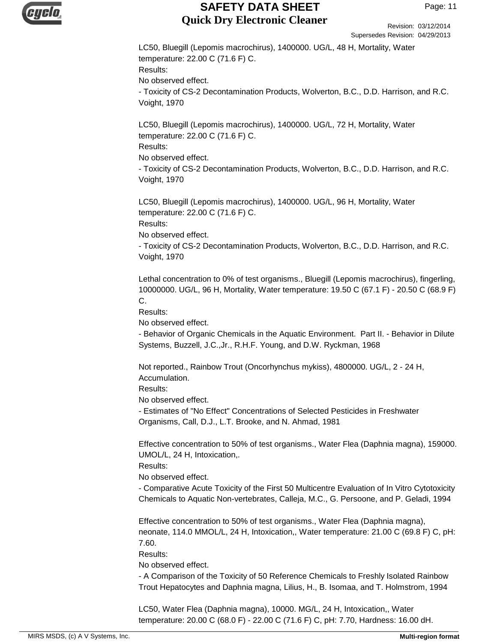

Revision: 03/12/2014 Supersedes Revision: 04/29/2013

LC50, Bluegill (Lepomis macrochirus), 1400000. UG/L, 48 H, Mortality, Water temperature: 22.00 C (71.6 F) C. Results: No observed effect. - Toxicity of CS-2 Decontamination Products, Wolverton, B.C., D.D. Harrison, and R.C. Voight, 1970

LC50, Bluegill (Lepomis macrochirus), 1400000. UG/L, 72 H, Mortality, Water temperature: 22.00 C (71.6 F) C. Results: No observed effect.

- Toxicity of CS-2 Decontamination Products, Wolverton, B.C., D.D. Harrison, and R.C. Voight, 1970

LC50, Bluegill (Lepomis macrochirus), 1400000. UG/L, 96 H, Mortality, Water temperature: 22.00 C (71.6 F) C. Results:

No observed effect.

- Toxicity of CS-2 Decontamination Products, Wolverton, B.C., D.D. Harrison, and R.C. Voight, 1970

Lethal concentration to 0% of test organisms., Bluegill (Lepomis macrochirus), fingerling, 10000000. UG/L, 96 H, Mortality, Water temperature: 19.50 C (67.1 F) - 20.50 C (68.9 F) C.

Results:

No observed effect.

- Behavior of Organic Chemicals in the Aquatic Environment. Part II. - Behavior in Dilute Systems, Buzzell, J.C.,Jr., R.H.F. Young, and D.W. Ryckman, 1968

Not reported., Rainbow Trout (Oncorhynchus mykiss), 4800000. UG/L, 2 - 24 H, Accumulation.

Results:

No observed effect.

- Estimates of "No Effect" Concentrations of Selected Pesticides in Freshwater Organisms, Call, D.J., L.T. Brooke, and N. Ahmad, 1981

Effective concentration to 50% of test organisms., Water Flea (Daphnia magna), 159000. UMOL/L, 24 H, Intoxication,.

Results:

No observed effect.

- Comparative Acute Toxicity of the First 50 Multicentre Evaluation of In Vitro Cytotoxicity Chemicals to Aquatic Non-vertebrates, Calleja, M.C., G. Persoone, and P. Geladi, 1994

Effective concentration to 50% of test organisms., Water Flea (Daphnia magna), neonate, 114.0 MMOL/L, 24 H, Intoxication,, Water temperature: 21.00 C (69.8 F) C, pH: 7.60.

Results:

No observed effect.

- A Comparison of the Toxicity of 50 Reference Chemicals to Freshly Isolated Rainbow Trout Hepatocytes and Daphnia magna, Lilius, H., B. Isomaa, and T. Holmstrom, 1994

LC50, Water Flea (Daphnia magna), 10000. MG/L, 24 H, Intoxication,, Water temperature: 20.00 C (68.0 F) - 22.00 C (71.6 F) C, pH: 7.70, Hardness: 16.00 dH.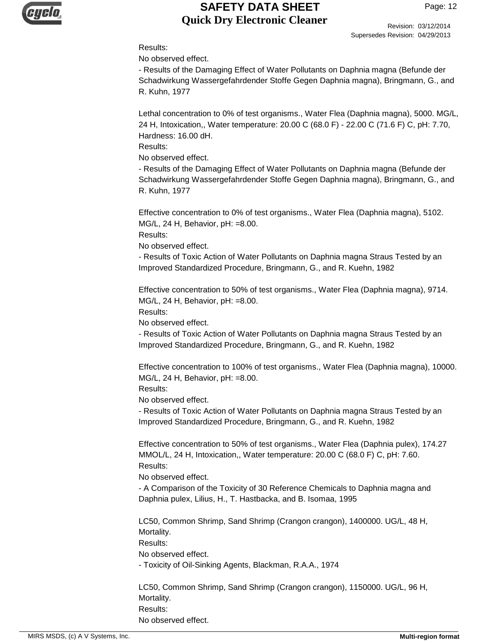

Revision: 03/12/2014 Supersedes Revision: 04/29/2013

#### Results:

No observed effect.

- Results of the Damaging Effect of Water Pollutants on Daphnia magna (Befunde der Schadwirkung Wassergefahrdender Stoffe Gegen Daphnia magna), Bringmann, G., and R. Kuhn, 1977

Lethal concentration to 0% of test organisms., Water Flea (Daphnia magna), 5000. MG/L, 24 H, Intoxication,, Water temperature: 20.00 C (68.0 F) - 22.00 C (71.6 F) C, pH: 7.70, Hardness: 16.00 dH.

Results:

No observed effect.

- Results of the Damaging Effect of Water Pollutants on Daphnia magna (Befunde der Schadwirkung Wassergefahrdender Stoffe Gegen Daphnia magna), Bringmann, G., and R. Kuhn, 1977

Effective concentration to 0% of test organisms., Water Flea (Daphnia magna), 5102. MG/L, 24 H, Behavior, pH: =8.00.

Results:

No observed effect.

- Results of Toxic Action of Water Pollutants on Daphnia magna Straus Tested by an Improved Standardized Procedure, Bringmann, G., and R. Kuehn, 1982

Effective concentration to 50% of test organisms., Water Flea (Daphnia magna), 9714. MG/L, 24 H, Behavior, pH: =8.00.

Results:

No observed effect.

- Results of Toxic Action of Water Pollutants on Daphnia magna Straus Tested by an Improved Standardized Procedure, Bringmann, G., and R. Kuehn, 1982

Effective concentration to 100% of test organisms., Water Flea (Daphnia magna), 10000. MG/L, 24 H, Behavior, pH: =8.00.

Results:

No observed effect.

- Results of Toxic Action of Water Pollutants on Daphnia magna Straus Tested by an Improved Standardized Procedure, Bringmann, G., and R. Kuehn, 1982

Effective concentration to 50% of test organisms., Water Flea (Daphnia pulex), 174.27 MMOL/L, 24 H, Intoxication,, Water temperature: 20.00 C (68.0 F) C, pH: 7.60. Results:

No observed effect.

- A Comparison of the Toxicity of 30 Reference Chemicals to Daphnia magna and Daphnia pulex, Lilius, H., T. Hastbacka, and B. Isomaa, 1995

LC50, Common Shrimp, Sand Shrimp (Crangon crangon), 1400000. UG/L, 48 H, Mortality.

Results:

No observed effect.

- Toxicity of Oil-Sinking Agents, Blackman, R.A.A., 1974

LC50, Common Shrimp, Sand Shrimp (Crangon crangon), 1150000. UG/L, 96 H, Mortality. Results: No observed effect.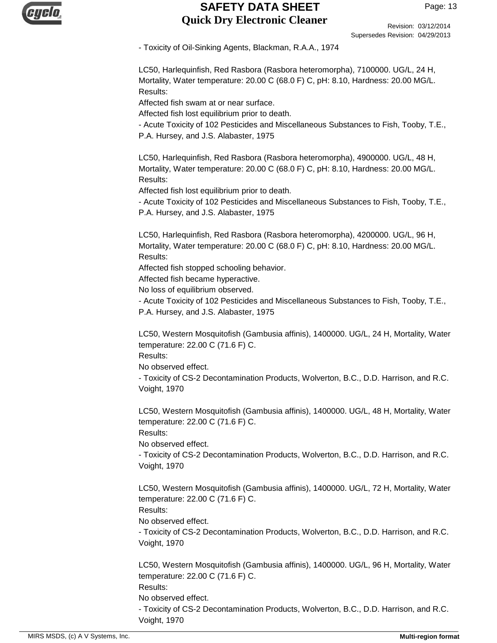

Revision: 03/12/2014 Supersedes Revision: 04/29/2013

- Toxicity of Oil-Sinking Agents, Blackman, R.A.A., 1974

LC50, Harlequinfish, Red Rasbora (Rasbora heteromorpha), 7100000. UG/L, 24 H, Mortality, Water temperature: 20.00 C (68.0 F) C, pH: 8.10, Hardness: 20.00 MG/L. Results:

Affected fish swam at or near surface.

Affected fish lost equilibrium prior to death.

- Acute Toxicity of 102 Pesticides and Miscellaneous Substances to Fish, Tooby, T.E., P.A. Hursey, and J.S. Alabaster, 1975

LC50, Harlequinfish, Red Rasbora (Rasbora heteromorpha), 4900000. UG/L, 48 H, Mortality, Water temperature: 20.00 C (68.0 F) C, pH: 8.10, Hardness: 20.00 MG/L. Results:

Affected fish lost equilibrium prior to death.

- Acute Toxicity of 102 Pesticides and Miscellaneous Substances to Fish, Tooby, T.E., P.A. Hursey, and J.S. Alabaster, 1975

LC50, Harlequinfish, Red Rasbora (Rasbora heteromorpha), 4200000. UG/L, 96 H, Mortality, Water temperature: 20.00 C (68.0 F) C, pH: 8.10, Hardness: 20.00 MG/L. Results:

Affected fish stopped schooling behavior.

Affected fish became hyperactive.

No loss of equilibrium observed.

- Acute Toxicity of 102 Pesticides and Miscellaneous Substances to Fish, Tooby, T.E., P.A. Hursey, and J.S. Alabaster, 1975

LC50, Western Mosquitofish (Gambusia affinis), 1400000. UG/L, 24 H, Mortality, Water temperature: 22.00 C (71.6 F) C.

Results:

No observed effect.

- Toxicity of CS-2 Decontamination Products, Wolverton, B.C., D.D. Harrison, and R.C. Voight, 1970

LC50, Western Mosquitofish (Gambusia affinis), 1400000. UG/L, 48 H, Mortality, Water temperature: 22.00 C (71.6 F) C.

Results:

No observed effect.

- Toxicity of CS-2 Decontamination Products, Wolverton, B.C., D.D. Harrison, and R.C. Voight, 1970

LC50, Western Mosquitofish (Gambusia affinis), 1400000. UG/L, 72 H, Mortality, Water temperature: 22.00 C (71.6 F) C.

Results:

No observed effect.

- Toxicity of CS-2 Decontamination Products, Wolverton, B.C., D.D. Harrison, and R.C. Voight, 1970

LC50, Western Mosquitofish (Gambusia affinis), 1400000. UG/L, 96 H, Mortality, Water temperature: 22.00 C (71.6 F) C.

Results:

No observed effect.

- Toxicity of CS-2 Decontamination Products, Wolverton, B.C., D.D. Harrison, and R.C. Voight, 1970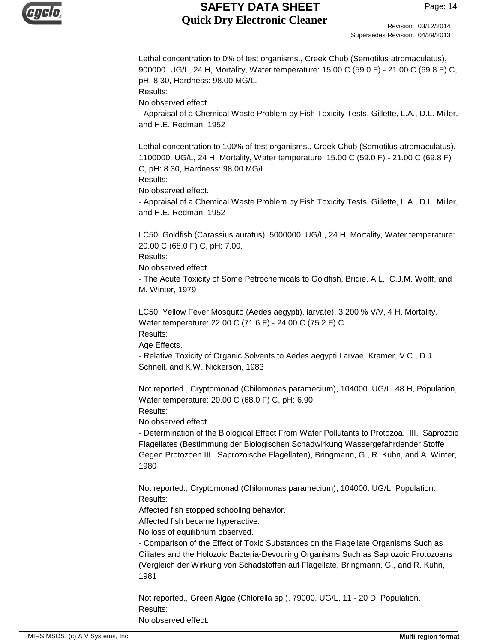

Revision: 03/12/2014 Supersedes Revision: 04/29/2013

Lethal concentration to 0% of test organisms., Creek Chub (Semotilus atromaculatus), 900000. UG/L, 24 H, Mortality, Water temperature: 15.00 C (59.0 F) - 21.00 C (69.8 F) C, pH: 8.30, Hardness: 98.00 MG/L.

Results:

No observed effect.

- Appraisal of a Chemical Waste Problem by Fish Toxicity Tests, Gillette, L.A., D.L. Miller, and H.E. Redman, 1952

Lethal concentration to 100% of test organisms., Creek Chub (Semotilus atromaculatus), 1100000. UG/L, 24 H, Mortality, Water temperature: 15.00 C (59.0 F) - 21.00 C (69.8 F) C, pH: 8.30, Hardness: 98.00 MG/L.

Results:

No observed effect.

- Appraisal of a Chemical Waste Problem by Fish Toxicity Tests, Gillette, L.A., D.L. Miller, and H.E. Redman, 1952

LC50, Goldfish (Carassius auratus), 5000000. UG/L, 24 H, Mortality, Water temperature: 20.00 C (68.0 F) C, pH: 7.00.

Results:

No observed effect.

- The Acute Toxicity of Some Petrochemicals to Goldfish, Bridie, A.L., C.J.M. Wolff, and M. Winter, 1979

LC50, Yellow Fever Mosquito (Aedes aegypti), larva(e), 3.200 % V/V, 4 H, Mortality, Water temperature: 22.00 C (71.6 F) - 24.00 C (75.2 F) C.

Results:

Age Effects.

- Relative Toxicity of Organic Solvents to Aedes aegypti Larvae, Kramer, V.C., D.J. Schnell, and K.W. Nickerson, 1983

Not reported., Cryptomonad (Chilomonas paramecium), 104000. UG/L, 48 H, Population, Water temperature: 20.00 C (68.0 F) C, pH: 6.90.

Results:

No observed effect.

- Determination of the Biological Effect From Water Pollutants to Protozoa. III. Saprozoic Flagellates (Bestimmung der Biologischen Schadwirkung Wassergefahrdender Stoffe Gegen Protozoen III. Saprozoische Flagellaten), Bringmann, G., R. Kuhn, and A. Winter, 1980

Not reported., Cryptomonad (Chilomonas paramecium), 104000. UG/L, Population. Results:

Affected fish stopped schooling behavior.

Affected fish became hyperactive.

No loss of equilibrium observed.

- Comparison of the Effect of Toxic Substances on the Flagellate Organisms Such as Ciliates and the Holozoic Bacteria-Devouring Organisms Such as Saprozoic Protozoans (Vergleich der Wirkung von Schadstoffen auf Flagellate, Bringmann, G., and R. Kuhn, 1981

Not reported., Green Algae (Chlorella sp.), 79000. UG/L, 11 - 20 D, Population. Results: No observed effect.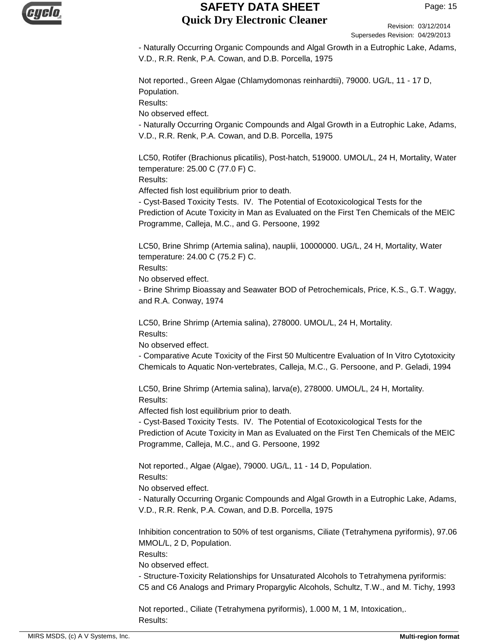

Revision: 03/12/2014 Supersedes Revision: 04/29/2013

- Naturally Occurring Organic Compounds and Algal Growth in a Eutrophic Lake, Adams, V.D., R.R. Renk, P.A. Cowan, and D.B. Porcella, 1975

Not reported., Green Algae (Chlamydomonas reinhardtii), 79000. UG/L, 11 - 17 D, Population. Results:

No observed effect.

- Naturally Occurring Organic Compounds and Algal Growth in a Eutrophic Lake, Adams, V.D., R.R. Renk, P.A. Cowan, and D.B. Porcella, 1975

LC50, Rotifer (Brachionus plicatilis), Post-hatch, 519000. UMOL/L, 24 H, Mortality, Water temperature: 25.00 C (77.0 F) C.

Results:

Affected fish lost equilibrium prior to death.

- Cyst-Based Toxicity Tests. IV. The Potential of Ecotoxicological Tests for the Prediction of Acute Toxicity in Man as Evaluated on the First Ten Chemicals of the MEIC Programme, Calleja, M.C., and G. Persoone, 1992

LC50, Brine Shrimp (Artemia salina), nauplii, 10000000. UG/L, 24 H, Mortality, Water temperature: 24.00 C (75.2 F) C.

Results:

No observed effect.

- Brine Shrimp Bioassay and Seawater BOD of Petrochemicals, Price, K.S., G.T. Waggy, and R.A. Conway, 1974

LC50, Brine Shrimp (Artemia salina), 278000. UMOL/L, 24 H, Mortality. Results:

No observed effect.

- Comparative Acute Toxicity of the First 50 Multicentre Evaluation of In Vitro Cytotoxicity Chemicals to Aquatic Non-vertebrates, Calleja, M.C., G. Persoone, and P. Geladi, 1994

LC50, Brine Shrimp (Artemia salina), larva(e), 278000. UMOL/L, 24 H, Mortality. Results:

Affected fish lost equilibrium prior to death.

- Cyst-Based Toxicity Tests. IV. The Potential of Ecotoxicological Tests for the Prediction of Acute Toxicity in Man as Evaluated on the First Ten Chemicals of the MEIC Programme, Calleja, M.C., and G. Persoone, 1992

Not reported., Algae (Algae), 79000. UG/L, 11 - 14 D, Population. Results:

No observed effect.

- Naturally Occurring Organic Compounds and Algal Growth in a Eutrophic Lake, Adams, V.D., R.R. Renk, P.A. Cowan, and D.B. Porcella, 1975

Inhibition concentration to 50% of test organisms, Ciliate (Tetrahymena pyriformis), 97.06 MMOL/L, 2 D, Population.

Results:

No observed effect.

- Structure-Toxicity Relationships for Unsaturated Alcohols to Tetrahymena pyriformis: C5 and C6 Analogs and Primary Propargylic Alcohols, Schultz, T.W., and M. Tichy, 1993

Not reported., Ciliate (Tetrahymena pyriformis), 1.000 M, 1 M, Intoxication,. Results: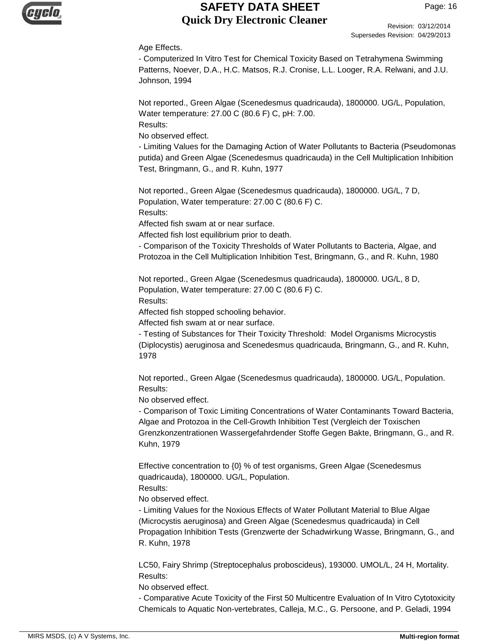

Revision: 03/12/2014 Supersedes Revision: 04/29/2013

#### Age Effects.

- Computerized In Vitro Test for Chemical Toxicity Based on Tetrahymena Swimming Patterns, Noever, D.A., H.C. Matsos, R.J. Cronise, L.L. Looger, R.A. Relwani, and J.U. Johnson, 1994

Not reported., Green Algae (Scenedesmus quadricauda), 1800000. UG/L, Population, Water temperature: 27.00 C (80.6 F) C, pH: 7.00.

Results:

No observed effect.

- Limiting Values for the Damaging Action of Water Pollutants to Bacteria (Pseudomonas putida) and Green Algae (Scenedesmus quadricauda) in the Cell Multiplication Inhibition Test, Bringmann, G., and R. Kuhn, 1977

Not reported., Green Algae (Scenedesmus quadricauda), 1800000. UG/L, 7 D, Population, Water temperature: 27.00 C (80.6 F) C. Results:

Affected fish swam at or near surface.

Affected fish lost equilibrium prior to death.

- Comparison of the Toxicity Thresholds of Water Pollutants to Bacteria, Algae, and Protozoa in the Cell Multiplication Inhibition Test, Bringmann, G., and R. Kuhn, 1980

Not reported., Green Algae (Scenedesmus quadricauda), 1800000. UG/L, 8 D, Population, Water temperature: 27.00 C (80.6 F) C.

Results:

Affected fish stopped schooling behavior.

Affected fish swam at or near surface.

- Testing of Substances for Their Toxicity Threshold: Model Organisms Microcystis (Diplocystis) aeruginosa and Scenedesmus quadricauda, Bringmann, G., and R. Kuhn, 1978

Not reported., Green Algae (Scenedesmus quadricauda), 1800000. UG/L, Population. Results:

No observed effect.

- Comparison of Toxic Limiting Concentrations of Water Contaminants Toward Bacteria, Algae and Protozoa in the Cell-Growth Inhibition Test (Vergleich der Toxischen Grenzkonzentrationen Wassergefahrdender Stoffe Gegen Bakte, Bringmann, G., and R. Kuhn, 1979

Effective concentration to {0} % of test organisms, Green Algae (Scenedesmus quadricauda), 1800000. UG/L, Population.

Results:

No observed effect.

- Limiting Values for the Noxious Effects of Water Pollutant Material to Blue Algae (Microcystis aeruginosa) and Green Algae (Scenedesmus quadricauda) in Cell Propagation Inhibition Tests (Grenzwerte der Schadwirkung Wasse, Bringmann, G., and R. Kuhn, 1978

LC50, Fairy Shrimp (Streptocephalus proboscideus), 193000. UMOL/L, 24 H, Mortality. Results:

No observed effect.

- Comparative Acute Toxicity of the First 50 Multicentre Evaluation of In Vitro Cytotoxicity Chemicals to Aquatic Non-vertebrates, Calleja, M.C., G. Persoone, and P. Geladi, 1994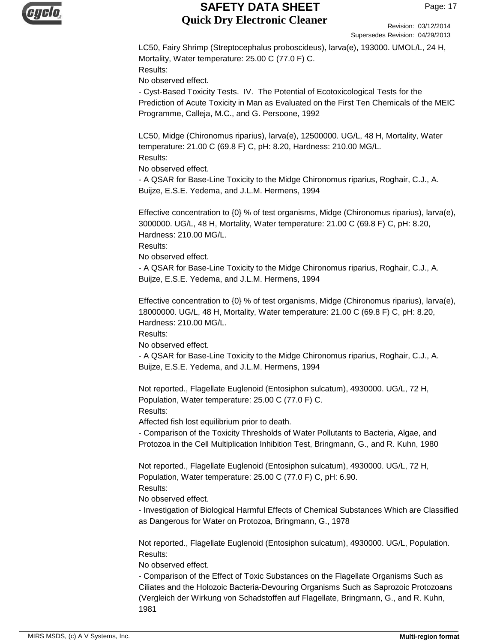

Revision: 03/12/2014 Supersedes Revision: 04/29/2013

LC50, Fairy Shrimp (Streptocephalus proboscideus), larva(e), 193000. UMOL/L, 24 H, Mortality, Water temperature: 25.00 C (77.0 F) C. Results:

No observed effect.

- Cyst-Based Toxicity Tests. IV. The Potential of Ecotoxicological Tests for the Prediction of Acute Toxicity in Man as Evaluated on the First Ten Chemicals of the MEIC Programme, Calleja, M.C., and G. Persoone, 1992

LC50, Midge (Chironomus riparius), larva(e), 12500000. UG/L, 48 H, Mortality, Water temperature: 21.00 C (69.8 F) C, pH: 8.20, Hardness: 210.00 MG/L. Results:

No observed effect.

- A QSAR for Base-Line Toxicity to the Midge Chironomus riparius, Roghair, C.J., A. Buijze, E.S.E. Yedema, and J.L.M. Hermens, 1994

Effective concentration to  ${0}$  % of test organisms, Midge (Chironomus riparius), larva(e), 3000000. UG/L, 48 H, Mortality, Water temperature: 21.00 C (69.8 F) C, pH: 8.20, Hardness: 210.00 MG/L.

Results:

No observed effect.

- A QSAR for Base-Line Toxicity to the Midge Chironomus riparius, Roghair, C.J., A. Buijze, E.S.E. Yedema, and J.L.M. Hermens, 1994

Effective concentration to {0} % of test organisms, Midge (Chironomus riparius), larva(e), 18000000. UG/L, 48 H, Mortality, Water temperature: 21.00 C (69.8 F) C, pH: 8.20, Hardness: 210.00 MG/L.

Results:

No observed effect.

- A QSAR for Base-Line Toxicity to the Midge Chironomus riparius, Roghair, C.J., A. Buijze, E.S.E. Yedema, and J.L.M. Hermens, 1994

Not reported., Flagellate Euglenoid (Entosiphon sulcatum), 4930000. UG/L, 72 H, Population, Water temperature: 25.00 C (77.0 F) C.

Results:

Affected fish lost equilibrium prior to death.

- Comparison of the Toxicity Thresholds of Water Pollutants to Bacteria, Algae, and Protozoa in the Cell Multiplication Inhibition Test, Bringmann, G., and R. Kuhn, 1980

Not reported., Flagellate Euglenoid (Entosiphon sulcatum), 4930000. UG/L, 72 H, Population, Water temperature: 25.00 C (77.0 F) C, pH: 6.90. Results:

No observed effect.

- Investigation of Biological Harmful Effects of Chemical Substances Which are Classified as Dangerous for Water on Protozoa, Bringmann, G., 1978

Not reported., Flagellate Euglenoid (Entosiphon sulcatum), 4930000. UG/L, Population. Results:

No observed effect.

- Comparison of the Effect of Toxic Substances on the Flagellate Organisms Such as Ciliates and the Holozoic Bacteria-Devouring Organisms Such as Saprozoic Protozoans (Vergleich der Wirkung von Schadstoffen auf Flagellate, Bringmann, G., and R. Kuhn, 1981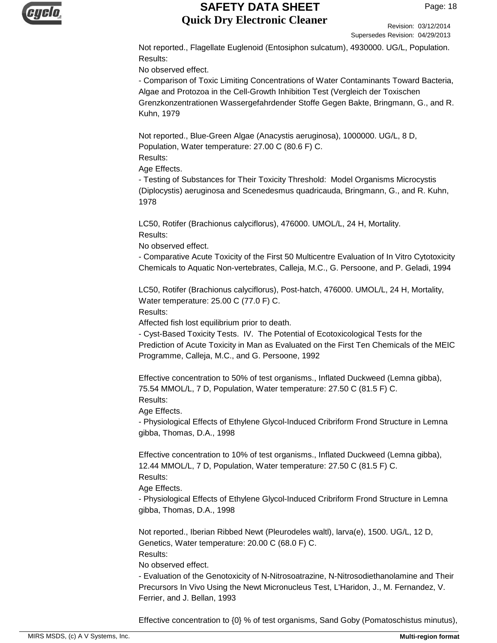

Revision: 03/12/2014 Supersedes Revision: 04/29/2013

Not reported., Flagellate Euglenoid (Entosiphon sulcatum), 4930000. UG/L, Population. Results:

No observed effect.

- Comparison of Toxic Limiting Concentrations of Water Contaminants Toward Bacteria, Algae and Protozoa in the Cell-Growth Inhibition Test (Vergleich der Toxischen Grenzkonzentrationen Wassergefahrdender Stoffe Gegen Bakte, Bringmann, G., and R. Kuhn, 1979

Not reported., Blue-Green Algae (Anacystis aeruginosa), 1000000. UG/L, 8 D, Population, Water temperature: 27.00 C (80.6 F) C. Results:

Age Effects.

- Testing of Substances for Their Toxicity Threshold: Model Organisms Microcystis (Diplocystis) aeruginosa and Scenedesmus quadricauda, Bringmann, G., and R. Kuhn, 1978

LC50, Rotifer (Brachionus calyciflorus), 476000. UMOL/L, 24 H, Mortality. Results:

No observed effect.

- Comparative Acute Toxicity of the First 50 Multicentre Evaluation of In Vitro Cytotoxicity Chemicals to Aquatic Non-vertebrates, Calleja, M.C., G. Persoone, and P. Geladi, 1994

LC50, Rotifer (Brachionus calyciflorus), Post-hatch, 476000. UMOL/L, 24 H, Mortality, Water temperature: 25.00 C (77.0 F) C.

Results:

Affected fish lost equilibrium prior to death.

- Cyst-Based Toxicity Tests. IV. The Potential of Ecotoxicological Tests for the Prediction of Acute Toxicity in Man as Evaluated on the First Ten Chemicals of the MEIC Programme, Calleja, M.C., and G. Persoone, 1992

Effective concentration to 50% of test organisms., Inflated Duckweed (Lemna gibba), 75.54 MMOL/L, 7 D, Population, Water temperature: 27.50 C (81.5 F) C. Results:

Age Effects.

- Physiological Effects of Ethylene Glycol-Induced Cribriform Frond Structure in Lemna gibba, Thomas, D.A., 1998

Effective concentration to 10% of test organisms., Inflated Duckweed (Lemna gibba), 12.44 MMOL/L, 7 D, Population, Water temperature: 27.50 C (81.5 F) C. Results:

Age Effects.

- Physiological Effects of Ethylene Glycol-Induced Cribriform Frond Structure in Lemna gibba, Thomas, D.A., 1998

Not reported., Iberian Ribbed Newt (Pleurodeles waltl), larva(e), 1500. UG/L, 12 D, Genetics, Water temperature: 20.00 C (68.0 F) C.

Results:

No observed effect.

- Evaluation of the Genotoxicity of N-Nitrosoatrazine, N-Nitrosodiethanolamine and Their Precursors In Vivo Using the Newt Micronucleus Test, L'Haridon, J., M. Fernandez, V. Ferrier, and J. Bellan, 1993

Effective concentration to {0} % of test organisms, Sand Goby (Pomatoschistus minutus),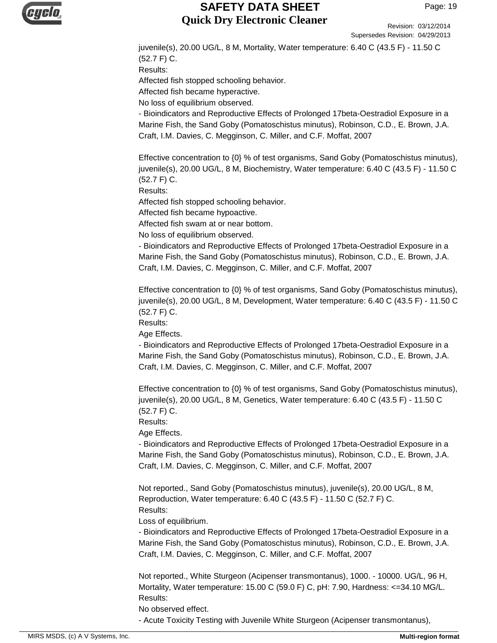

Revision: 03/12/2014 Supersedes Revision: 04/29/2013

juvenile(s), 20.00 UG/L, 8 M, Mortality, Water temperature: 6.40 C (43.5 F) - 11.50 C (52.7 F) C. Results: Affected fish stopped schooling behavior. Affected fish became hyperactive. No loss of equilibrium observed. - Bioindicators and Reproductive Effects of Prolonged 17beta-Oestradiol Exposure in a Marine Fish, the Sand Goby (Pomatoschistus minutus), Robinson, C.D., E. Brown, J.A.

Craft, I.M. Davies, C. Megginson, C. Miller, and C.F. Moffat, 2007

Effective concentration to {0} % of test organisms, Sand Goby (Pomatoschistus minutus), juvenile(s), 20.00 UG/L, 8 M, Biochemistry, Water temperature: 6.40 C (43.5 F) - 11.50 C (52.7 F) C.

Results:

Affected fish stopped schooling behavior.

Affected fish became hypoactive.

Affected fish swam at or near bottom.

No loss of equilibrium observed.

- Bioindicators and Reproductive Effects of Prolonged 17beta-Oestradiol Exposure in a Marine Fish, the Sand Goby (Pomatoschistus minutus), Robinson, C.D., E. Brown, J.A. Craft, I.M. Davies, C. Megginson, C. Miller, and C.F. Moffat, 2007

Effective concentration to {0} % of test organisms, Sand Goby (Pomatoschistus minutus), juvenile(s), 20.00 UG/L, 8 M, Development, Water temperature: 6.40 C (43.5 F) - 11.50 C (52.7 F) C.

Results:

Age Effects.

- Bioindicators and Reproductive Effects of Prolonged 17beta-Oestradiol Exposure in a Marine Fish, the Sand Goby (Pomatoschistus minutus), Robinson, C.D., E. Brown, J.A. Craft, I.M. Davies, C. Megginson, C. Miller, and C.F. Moffat, 2007

Effective concentration to {0} % of test organisms, Sand Goby (Pomatoschistus minutus), juvenile(s), 20.00 UG/L, 8 M, Genetics, Water temperature: 6.40 C (43.5 F) - 11.50 C (52.7 F) C.

Results:

Age Effects.

- Bioindicators and Reproductive Effects of Prolonged 17beta-Oestradiol Exposure in a Marine Fish, the Sand Goby (Pomatoschistus minutus), Robinson, C.D., E. Brown, J.A. Craft, I.M. Davies, C. Megginson, C. Miller, and C.F. Moffat, 2007

Not reported., Sand Goby (Pomatoschistus minutus), juvenile(s), 20.00 UG/L, 8 M, Reproduction, Water temperature: 6.40 C (43.5 F) - 11.50 C (52.7 F) C. Results:

Loss of equilibrium.

- Bioindicators and Reproductive Effects of Prolonged 17beta-Oestradiol Exposure in a Marine Fish, the Sand Goby (Pomatoschistus minutus), Robinson, C.D., E. Brown, J.A. Craft, I.M. Davies, C. Megginson, C. Miller, and C.F. Moffat, 2007

Not reported., White Sturgeon (Acipenser transmontanus), 1000. - 10000. UG/L, 96 H, Mortality, Water temperature: 15.00 C (59.0 F) C, pH: 7.90, Hardness: <=34.10 MG/L. Results:

No observed effect.

- Acute Toxicity Testing with Juvenile White Sturgeon (Acipenser transmontanus),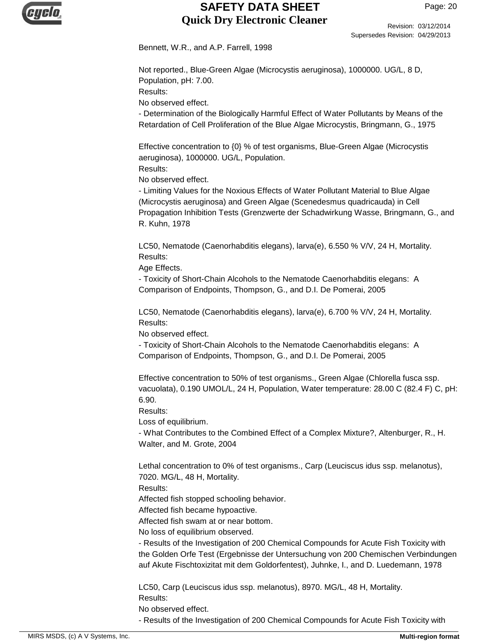

Revision: 03/12/2014 Supersedes Revision: 04/29/2013

Bennett, W.R., and A.P. Farrell, 1998

Not reported., Blue-Green Algae (Microcystis aeruginosa), 1000000. UG/L, 8 D, Population, pH: 7.00.

Results:

No observed effect.

- Determination of the Biologically Harmful Effect of Water Pollutants by Means of the Retardation of Cell Proliferation of the Blue Algae Microcystis, Bringmann, G., 1975

Effective concentration to {0} % of test organisms, Blue-Green Algae (Microcystis aeruginosa), 1000000. UG/L, Population.

Results:

No observed effect.

- Limiting Values for the Noxious Effects of Water Pollutant Material to Blue Algae (Microcystis aeruginosa) and Green Algae (Scenedesmus quadricauda) in Cell Propagation Inhibition Tests (Grenzwerte der Schadwirkung Wasse, Bringmann, G., and R. Kuhn, 1978

LC50, Nematode (Caenorhabditis elegans), larva(e), 6.550 % V/V, 24 H, Mortality. Results:

Age Effects.

- Toxicity of Short-Chain Alcohols to the Nematode Caenorhabditis elegans: A Comparison of Endpoints, Thompson, G., and D.I. De Pomerai, 2005

LC50, Nematode (Caenorhabditis elegans), larva(e), 6.700 % V/V, 24 H, Mortality. Results:

No observed effect.

- Toxicity of Short-Chain Alcohols to the Nematode Caenorhabditis elegans: A Comparison of Endpoints, Thompson, G., and D.I. De Pomerai, 2005

Effective concentration to 50% of test organisms., Green Algae (Chlorella fusca ssp. vacuolata), 0.190 UMOL/L, 24 H, Population, Water temperature: 28.00 C (82.4 F) C, pH: 6.90.

Results:

Loss of equilibrium.

- What Contributes to the Combined Effect of a Complex Mixture?, Altenburger, R., H. Walter, and M. Grote, 2004

Lethal concentration to 0% of test organisms., Carp (Leuciscus idus ssp. melanotus), 7020. MG/L, 48 H, Mortality.

Results:

Affected fish stopped schooling behavior.

Affected fish became hypoactive.

Affected fish swam at or near bottom.

No loss of equilibrium observed.

- Results of the Investigation of 200 Chemical Compounds for Acute Fish Toxicity with the Golden Orfe Test (Ergebnisse der Untersuchung von 200 Chemischen Verbindungen auf Akute Fischtoxizitat mit dem Goldorfentest), Juhnke, I., and D. Luedemann, 1978

LC50, Carp (Leuciscus idus ssp. melanotus), 8970. MG/L, 48 H, Mortality. Results:

No observed effect.

- Results of the Investigation of 200 Chemical Compounds for Acute Fish Toxicity with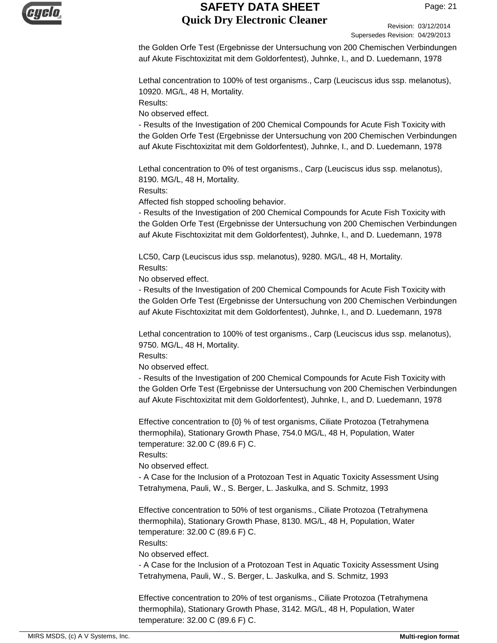

Revision: 03/12/2014 Supersedes Revision: 04/29/2013

the Golden Orfe Test (Ergebnisse der Untersuchung von 200 Chemischen Verbindungen auf Akute Fischtoxizitat mit dem Goldorfentest), Juhnke, I., and D. Luedemann, 1978

Lethal concentration to 100% of test organisms., Carp (Leuciscus idus ssp. melanotus), 10920. MG/L, 48 H, Mortality.

Results:

No observed effect.

- Results of the Investigation of 200 Chemical Compounds for Acute Fish Toxicity with the Golden Orfe Test (Ergebnisse der Untersuchung von 200 Chemischen Verbindungen auf Akute Fischtoxizitat mit dem Goldorfentest), Juhnke, I., and D. Luedemann, 1978

Lethal concentration to 0% of test organisms., Carp (Leuciscus idus ssp. melanotus), 8190. MG/L, 48 H, Mortality.

Results:

Affected fish stopped schooling behavior.

- Results of the Investigation of 200 Chemical Compounds for Acute Fish Toxicity with the Golden Orfe Test (Ergebnisse der Untersuchung von 200 Chemischen Verbindungen auf Akute Fischtoxizitat mit dem Goldorfentest), Juhnke, I., and D. Luedemann, 1978

LC50, Carp (Leuciscus idus ssp. melanotus), 9280. MG/L, 48 H, Mortality. Results:

No observed effect.

- Results of the Investigation of 200 Chemical Compounds for Acute Fish Toxicity with the Golden Orfe Test (Ergebnisse der Untersuchung von 200 Chemischen Verbindungen auf Akute Fischtoxizitat mit dem Goldorfentest), Juhnke, I., and D. Luedemann, 1978

Lethal concentration to 100% of test organisms., Carp (Leuciscus idus ssp. melanotus), 9750. MG/L, 48 H, Mortality.

Results:

No observed effect.

- Results of the Investigation of 200 Chemical Compounds for Acute Fish Toxicity with the Golden Orfe Test (Ergebnisse der Untersuchung von 200 Chemischen Verbindungen auf Akute Fischtoxizitat mit dem Goldorfentest), Juhnke, I., and D. Luedemann, 1978

Effective concentration to {0} % of test organisms, Ciliate Protozoa (Tetrahymena thermophila), Stationary Growth Phase, 754.0 MG/L, 48 H, Population, Water temperature: 32.00 C (89.6 F) C.

Results:

No observed effect.

- A Case for the Inclusion of a Protozoan Test in Aquatic Toxicity Assessment Using Tetrahymena, Pauli, W., S. Berger, L. Jaskulka, and S. Schmitz, 1993

Effective concentration to 50% of test organisms., Ciliate Protozoa (Tetrahymena thermophila), Stationary Growth Phase, 8130. MG/L, 48 H, Population, Water temperature: 32.00 C (89.6 F) C.

Results:

No observed effect.

- A Case for the Inclusion of a Protozoan Test in Aquatic Toxicity Assessment Using Tetrahymena, Pauli, W., S. Berger, L. Jaskulka, and S. Schmitz, 1993

Effective concentration to 20% of test organisms., Ciliate Protozoa (Tetrahymena thermophila), Stationary Growth Phase, 3142. MG/L, 48 H, Population, Water temperature: 32.00 C (89.6 F) C.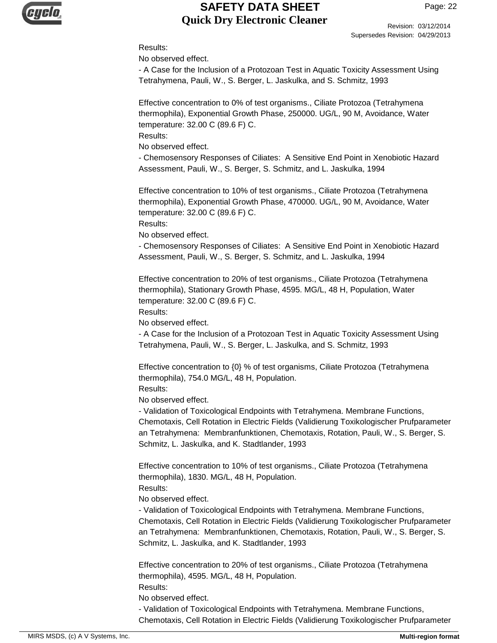

Revision: 03/12/2014 Supersedes Revision: 04/29/2013

#### Results:

No observed effect.

- A Case for the Inclusion of a Protozoan Test in Aquatic Toxicity Assessment Using Tetrahymena, Pauli, W., S. Berger, L. Jaskulka, and S. Schmitz, 1993

Effective concentration to 0% of test organisms., Ciliate Protozoa (Tetrahymena thermophila), Exponential Growth Phase, 250000. UG/L, 90 M, Avoidance, Water temperature: 32.00 C (89.6 F) C.

Results:

No observed effect.

- Chemosensory Responses of Ciliates: A Sensitive End Point in Xenobiotic Hazard Assessment, Pauli, W., S. Berger, S. Schmitz, and L. Jaskulka, 1994

Effective concentration to 10% of test organisms., Ciliate Protozoa (Tetrahymena thermophila), Exponential Growth Phase, 470000. UG/L, 90 M, Avoidance, Water temperature: 32.00 C (89.6 F) C.

Results:

No observed effect.

- Chemosensory Responses of Ciliates: A Sensitive End Point in Xenobiotic Hazard Assessment, Pauli, W., S. Berger, S. Schmitz, and L. Jaskulka, 1994

Effective concentration to 20% of test organisms., Ciliate Protozoa (Tetrahymena thermophila), Stationary Growth Phase, 4595. MG/L, 48 H, Population, Water temperature: 32.00 C (89.6 F) C.

Results:

No observed effect.

- A Case for the Inclusion of a Protozoan Test in Aquatic Toxicity Assessment Using Tetrahymena, Pauli, W., S. Berger, L. Jaskulka, and S. Schmitz, 1993

Effective concentration to {0} % of test organisms, Ciliate Protozoa (Tetrahymena thermophila), 754.0 MG/L, 48 H, Population. Results:

No observed effect.

- Validation of Toxicological Endpoints with Tetrahymena. Membrane Functions, Chemotaxis, Cell Rotation in Electric Fields (Validierung Toxikologischer Prufparameter an Tetrahymena: Membranfunktionen, Chemotaxis, Rotation, Pauli, W., S. Berger, S. Schmitz, L. Jaskulka, and K. Stadtlander, 1993

Effective concentration to 10% of test organisms., Ciliate Protozoa (Tetrahymena thermophila), 1830. MG/L, 48 H, Population.

Results:

No observed effect.

- Validation of Toxicological Endpoints with Tetrahymena. Membrane Functions, Chemotaxis, Cell Rotation in Electric Fields (Validierung Toxikologischer Prufparameter an Tetrahymena: Membranfunktionen, Chemotaxis, Rotation, Pauli, W., S. Berger, S. Schmitz, L. Jaskulka, and K. Stadtlander, 1993

Effective concentration to 20% of test organisms., Ciliate Protozoa (Tetrahymena thermophila), 4595. MG/L, 48 H, Population. Results:

No observed effect.

- Validation of Toxicological Endpoints with Tetrahymena. Membrane Functions, Chemotaxis, Cell Rotation in Electric Fields (Validierung Toxikologischer Prufparameter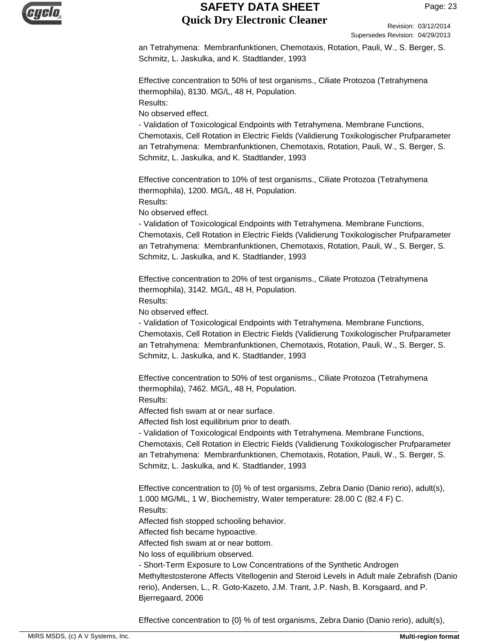

Revision: 03/12/2014 Supersedes Revision: 04/29/2013

an Tetrahymena: Membranfunktionen, Chemotaxis, Rotation, Pauli, W., S. Berger, S. Schmitz, L. Jaskulka, and K. Stadtlander, 1993

Effective concentration to 50% of test organisms., Ciliate Protozoa (Tetrahymena thermophila), 8130. MG/L, 48 H, Population. Results:

No observed effect.

- Validation of Toxicological Endpoints with Tetrahymena. Membrane Functions, Chemotaxis, Cell Rotation in Electric Fields (Validierung Toxikologischer Prufparameter an Tetrahymena: Membranfunktionen, Chemotaxis, Rotation, Pauli, W., S. Berger, S. Schmitz, L. Jaskulka, and K. Stadtlander, 1993

Effective concentration to 10% of test organisms., Ciliate Protozoa (Tetrahymena thermophila), 1200. MG/L, 48 H, Population.

Results: No observed effect.

- Validation of Toxicological Endpoints with Tetrahymena. Membrane Functions, Chemotaxis, Cell Rotation in Electric Fields (Validierung Toxikologischer Prufparameter an Tetrahymena: Membranfunktionen, Chemotaxis, Rotation, Pauli, W., S. Berger, S. Schmitz, L. Jaskulka, and K. Stadtlander, 1993

Effective concentration to 20% of test organisms., Ciliate Protozoa (Tetrahymena thermophila), 3142. MG/L, 48 H, Population. Results:

No observed effect.

- Validation of Toxicological Endpoints with Tetrahymena. Membrane Functions, Chemotaxis, Cell Rotation in Electric Fields (Validierung Toxikologischer Prufparameter an Tetrahymena: Membranfunktionen, Chemotaxis, Rotation, Pauli, W., S. Berger, S. Schmitz, L. Jaskulka, and K. Stadtlander, 1993

Effective concentration to 50% of test organisms., Ciliate Protozoa (Tetrahymena thermophila), 7462. MG/L, 48 H, Population. Results:

Affected fish swam at or near surface.

Affected fish lost equilibrium prior to death.

- Validation of Toxicological Endpoints with Tetrahymena. Membrane Functions, Chemotaxis, Cell Rotation in Electric Fields (Validierung Toxikologischer Prufparameter an Tetrahymena: Membranfunktionen, Chemotaxis, Rotation, Pauli, W., S. Berger, S. Schmitz, L. Jaskulka, and K. Stadtlander, 1993

Effective concentration to {0} % of test organisms, Zebra Danio (Danio rerio), adult(s), 1.000 MG/ML, 1 W, Biochemistry, Water temperature: 28.00 C (82.4 F) C. Results:

Affected fish stopped schooling behavior.

Affected fish became hypoactive.

Affected fish swam at or near bottom.

No loss of equilibrium observed.

- Short-Term Exposure to Low Concentrations of the Synthetic Androgen Methyltestosterone Affects Vitellogenin and Steroid Levels in Adult male Zebrafish (Danio rerio), Andersen, L., R. Goto-Kazeto, J.M. Trant, J.P. Nash, B. Korsgaard, and P. Bjerregaard, 2006

Effective concentration to {0} % of test organisms, Zebra Danio (Danio rerio), adult(s),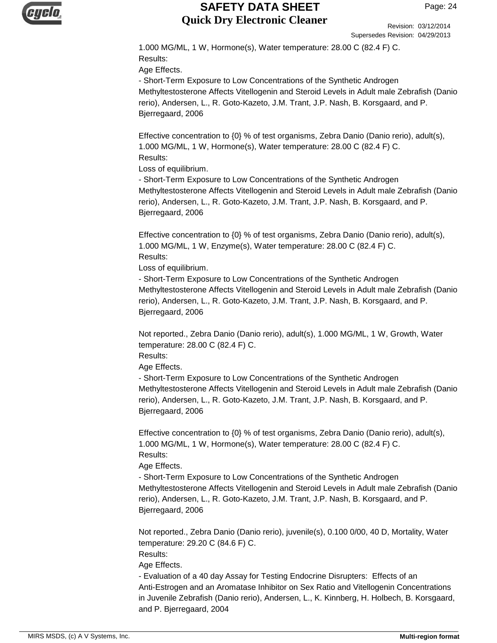

Revision: 03/12/2014 Supersedes Revision: 04/29/2013

1.000 MG/ML, 1 W, Hormone(s), Water temperature: 28.00 C (82.4 F) C. Results: Age Effects.

- Short-Term Exposure to Low Concentrations of the Synthetic Androgen Methyltestosterone Affects Vitellogenin and Steroid Levels in Adult male Zebrafish (Danio rerio), Andersen, L., R. Goto-Kazeto, J.M. Trant, J.P. Nash, B. Korsgaard, and P. Bjerregaard, 2006

Effective concentration to {0} % of test organisms, Zebra Danio (Danio rerio), adult(s), 1.000 MG/ML, 1 W, Hormone(s), Water temperature: 28.00 C (82.4 F) C. Results:

Loss of equilibrium.

- Short-Term Exposure to Low Concentrations of the Synthetic Androgen Methyltestosterone Affects Vitellogenin and Steroid Levels in Adult male Zebrafish (Danio rerio), Andersen, L., R. Goto-Kazeto, J.M. Trant, J.P. Nash, B. Korsgaard, and P. Bjerregaard, 2006

Effective concentration to {0} % of test organisms, Zebra Danio (Danio rerio), adult(s), 1.000 MG/ML, 1 W, Enzyme(s), Water temperature: 28.00 C (82.4 F) C. Results:

Loss of equilibrium.

- Short-Term Exposure to Low Concentrations of the Synthetic Androgen Methyltestosterone Affects Vitellogenin and Steroid Levels in Adult male Zebrafish (Danio rerio), Andersen, L., R. Goto-Kazeto, J.M. Trant, J.P. Nash, B. Korsgaard, and P. Bjerregaard, 2006

Not reported., Zebra Danio (Danio rerio), adult(s), 1.000 MG/ML, 1 W, Growth, Water temperature: 28.00 C (82.4 F) C.

Results:

Age Effects.

- Short-Term Exposure to Low Concentrations of the Synthetic Androgen Methyltestosterone Affects Vitellogenin and Steroid Levels in Adult male Zebrafish (Danio rerio), Andersen, L., R. Goto-Kazeto, J.M. Trant, J.P. Nash, B. Korsgaard, and P. Bjerregaard, 2006

Effective concentration to {0} % of test organisms, Zebra Danio (Danio rerio), adult(s), 1.000 MG/ML, 1 W, Hormone(s), Water temperature: 28.00 C (82.4 F) C. Results:

Age Effects.

- Short-Term Exposure to Low Concentrations of the Synthetic Androgen Methyltestosterone Affects Vitellogenin and Steroid Levels in Adult male Zebrafish (Danio rerio), Andersen, L., R. Goto-Kazeto, J.M. Trant, J.P. Nash, B. Korsgaard, and P. Bjerregaard, 2006

Not reported., Zebra Danio (Danio rerio), juvenile(s), 0.100 0/00, 40 D, Mortality, Water temperature: 29.20 C (84.6 F) C.

Results:

Age Effects.

- Evaluation of a 40 day Assay for Testing Endocrine Disrupters: Effects of an Anti-Estrogen and an Aromatase Inhibitor on Sex Ratio and Vitellogenin Concentrations in Juvenile Zebrafish (Danio rerio), Andersen, L., K. Kinnberg, H. Holbech, B. Korsgaard, and P. Bjerregaard, 2004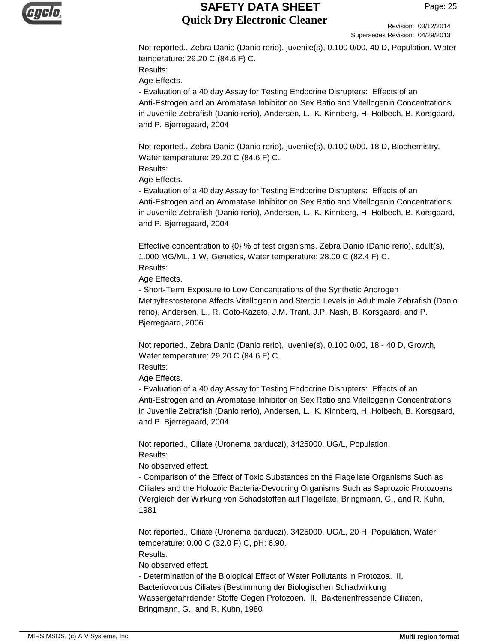

Revision: 03/12/2014 Supersedes Revision: 04/29/2013

Not reported., Zebra Danio (Danio rerio), juvenile(s), 0.100 0/00, 40 D, Population, Water temperature: 29.20 C (84.6 F) C. Results:

Age Effects.

- Evaluation of a 40 day Assay for Testing Endocrine Disrupters: Effects of an Anti-Estrogen and an Aromatase Inhibitor on Sex Ratio and Vitellogenin Concentrations in Juvenile Zebrafish (Danio rerio), Andersen, L., K. Kinnberg, H. Holbech, B. Korsgaard, and P. Bjerregaard, 2004

Not reported., Zebra Danio (Danio rerio), juvenile(s), 0.100 0/00, 18 D, Biochemistry, Water temperature: 29.20 C (84.6 F) C.

Results:

Age Effects.

- Evaluation of a 40 day Assay for Testing Endocrine Disrupters: Effects of an Anti-Estrogen and an Aromatase Inhibitor on Sex Ratio and Vitellogenin Concentrations in Juvenile Zebrafish (Danio rerio), Andersen, L., K. Kinnberg, H. Holbech, B. Korsgaard, and P. Bjerregaard, 2004

Effective concentration to {0} % of test organisms, Zebra Danio (Danio rerio), adult(s), 1.000 MG/ML, 1 W, Genetics, Water temperature: 28.00 C (82.4 F) C. Results:

Age Effects.

- Short-Term Exposure to Low Concentrations of the Synthetic Androgen Methyltestosterone Affects Vitellogenin and Steroid Levels in Adult male Zebrafish (Danio rerio), Andersen, L., R. Goto-Kazeto, J.M. Trant, J.P. Nash, B. Korsgaard, and P. Bjerregaard, 2006

Not reported., Zebra Danio (Danio rerio), juvenile(s), 0.100 0/00, 18 - 40 D, Growth, Water temperature: 29.20 C (84.6 F) C.

Results:

Age Effects.

- Evaluation of a 40 day Assay for Testing Endocrine Disrupters: Effects of an Anti-Estrogen and an Aromatase Inhibitor on Sex Ratio and Vitellogenin Concentrations in Juvenile Zebrafish (Danio rerio), Andersen, L., K. Kinnberg, H. Holbech, B. Korsgaard, and P. Bjerregaard, 2004

Not reported., Ciliate (Uronema parduczi), 3425000. UG/L, Population. Results:

No observed effect.

- Comparison of the Effect of Toxic Substances on the Flagellate Organisms Such as Ciliates and the Holozoic Bacteria-Devouring Organisms Such as Saprozoic Protozoans (Vergleich der Wirkung von Schadstoffen auf Flagellate, Bringmann, G., and R. Kuhn, 1981

Not reported., Ciliate (Uronema parduczi), 3425000. UG/L, 20 H, Population, Water temperature: 0.00 C (32.0 F) C, pH: 6.90.

Results:

No observed effect.

- Determination of the Biological Effect of Water Pollutants in Protozoa. II. Bacteriovorous Ciliates (Bestimmung der Biologischen Schadwirkung Wassergefahrdender Stoffe Gegen Protozoen. II. Bakterienfressende Ciliaten, Bringmann, G., and R. Kuhn, 1980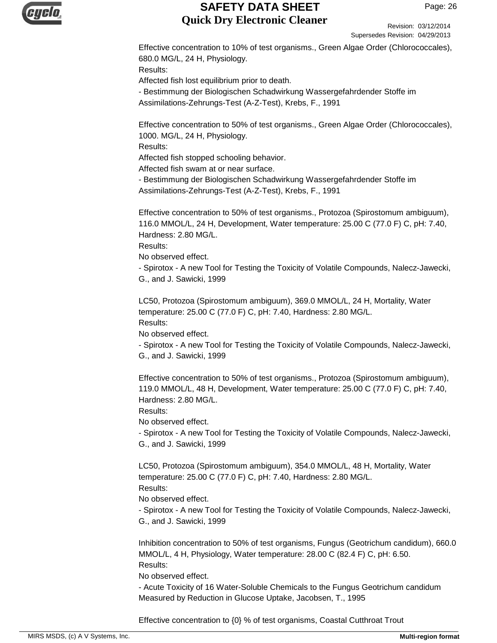

Revision: 03/12/2014 Supersedes Revision: 04/29/2013

Effective concentration to 10% of test organisms., Green Algae Order (Chlorococcales), 680.0 MG/L, 24 H, Physiology. Results: Affected fish lost equilibrium prior to death. - Bestimmung der Biologischen Schadwirkung Wassergefahrdender Stoffe im

Assimilations-Zehrungs-Test (A-Z-Test), Krebs, F., 1991

Effective concentration to 50% of test organisms., Green Algae Order (Chlorococcales), 1000. MG/L, 24 H, Physiology.

Results:

Affected fish stopped schooling behavior.

Affected fish swam at or near surface.

- Bestimmung der Biologischen Schadwirkung Wassergefahrdender Stoffe im Assimilations-Zehrungs-Test (A-Z-Test), Krebs, F., 1991

Effective concentration to 50% of test organisms., Protozoa (Spirostomum ambiguum), 116.0 MMOL/L, 24 H, Development, Water temperature: 25.00 C (77.0 F) C, pH: 7.40, Hardness: 2.80 MG/L.

Results:

No observed effect.

- Spirotox - A new Tool for Testing the Toxicity of Volatile Compounds, Nalecz-Jawecki, G., and J. Sawicki, 1999

LC50, Protozoa (Spirostomum ambiguum), 369.0 MMOL/L, 24 H, Mortality, Water temperature: 25.00 C (77.0 F) C, pH: 7.40, Hardness: 2.80 MG/L. Results:

No observed effect.

- Spirotox - A new Tool for Testing the Toxicity of Volatile Compounds, Nalecz-Jawecki, G., and J. Sawicki, 1999

Effective concentration to 50% of test organisms., Protozoa (Spirostomum ambiguum), 119.0 MMOL/L, 48 H, Development, Water temperature: 25.00 C (77.0 F) C, pH: 7.40, Hardness: 2.80 MG/L.

Results:

No observed effect.

- Spirotox - A new Tool for Testing the Toxicity of Volatile Compounds, Nalecz-Jawecki, G., and J. Sawicki, 1999

LC50, Protozoa (Spirostomum ambiguum), 354.0 MMOL/L, 48 H, Mortality, Water temperature: 25.00 C (77.0 F) C, pH: 7.40, Hardness: 2.80 MG/L.

Results:

No observed effect.

- Spirotox - A new Tool for Testing the Toxicity of Volatile Compounds, Nalecz-Jawecki, G., and J. Sawicki, 1999

Inhibition concentration to 50% of test organisms, Fungus (Geotrichum candidum), 660.0 MMOL/L, 4 H, Physiology, Water temperature: 28.00 C (82.4 F) C, pH: 6.50. Results:

No observed effect.

- Acute Toxicity of 16 Water-Soluble Chemicals to the Fungus Geotrichum candidum Measured by Reduction in Glucose Uptake, Jacobsen, T., 1995

Effective concentration to {0} % of test organisms, Coastal Cutthroat Trout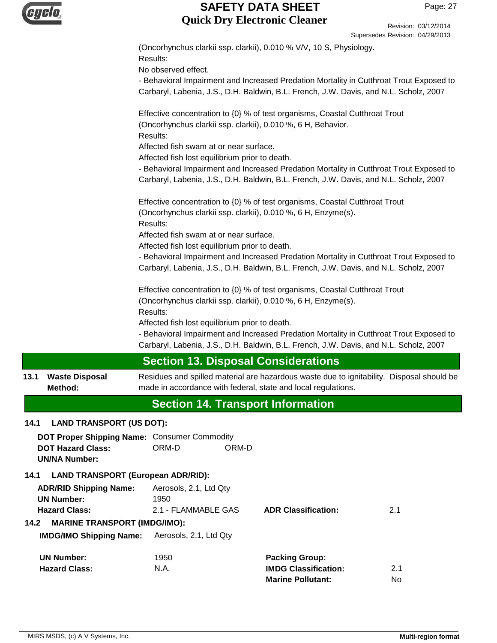|      |                                                                                                  |                                                                                                                                                            |                             | Oupcrocuco incribium. 07/20/2010 |
|------|--------------------------------------------------------------------------------------------------|------------------------------------------------------------------------------------------------------------------------------------------------------------|-----------------------------|----------------------------------|
|      |                                                                                                  | (Oncorhynchus clarkii ssp. clarkii), 0.010 % V/V, 10 S, Physiology.                                                                                        |                             |                                  |
|      |                                                                                                  | Results:<br>No observed effect.                                                                                                                            |                             |                                  |
|      |                                                                                                  | - Behavioral Impairment and Increased Predation Mortality in Cutthroat Trout Exposed to                                                                    |                             |                                  |
|      |                                                                                                  | Carbaryl, Labenia, J.S., D.H. Baldwin, B.L. French, J.W. Davis, and N.L. Scholz, 2007                                                                      |                             |                                  |
|      |                                                                                                  | Effective concentration to {0} % of test organisms, Coastal Cutthroat Trout<br>(Oncorhynchus clarkii ssp. clarkii), 0.010 %, 6 H, Behavior.<br>Results:    |                             |                                  |
|      |                                                                                                  | Affected fish swam at or near surface.                                                                                                                     |                             |                                  |
|      |                                                                                                  | Affected fish lost equilibrium prior to death.                                                                                                             |                             |                                  |
|      |                                                                                                  | - Behavioral Impairment and Increased Predation Mortality in Cutthroat Trout Exposed to                                                                    |                             |                                  |
|      |                                                                                                  | Carbaryl, Labenia, J.S., D.H. Baldwin, B.L. French, J.W. Davis, and N.L. Scholz, 2007                                                                      |                             |                                  |
|      |                                                                                                  | Effective concentration to {0} % of test organisms, Coastal Cutthroat Trout<br>(Oncorhynchus clarkii ssp. clarkii), 0.010 %, 6 H, Enzyme(s).               |                             |                                  |
|      |                                                                                                  | Results:<br>Affected fish swam at or near surface.                                                                                                         |                             |                                  |
|      |                                                                                                  | Affected fish lost equilibrium prior to death.                                                                                                             |                             |                                  |
|      |                                                                                                  | - Behavioral Impairment and Increased Predation Mortality in Cutthroat Trout Exposed to                                                                    |                             |                                  |
|      |                                                                                                  | Carbaryl, Labenia, J.S., D.H. Baldwin, B.L. French, J.W. Davis, and N.L. Scholz, 2007                                                                      |                             |                                  |
|      |                                                                                                  | Effective concentration to {0} % of test organisms, Coastal Cutthroat Trout                                                                                |                             |                                  |
|      |                                                                                                  | (Oncorhynchus clarkii ssp. clarkii), 0.010 %, 6 H, Enzyme(s).                                                                                              |                             |                                  |
|      |                                                                                                  | Results:                                                                                                                                                   |                             |                                  |
|      |                                                                                                  | Affected fish lost equilibrium prior to death.                                                                                                             |                             |                                  |
|      |                                                                                                  | - Behavioral Impairment and Increased Predation Mortality in Cutthroat Trout Exposed to                                                                    |                             |                                  |
|      |                                                                                                  | Carbaryl, Labenia, J.S., D.H. Baldwin, B.L. French, J.W. Davis, and N.L. Scholz, 2007                                                                      |                             |                                  |
|      |                                                                                                  | <b>Section 13. Disposal Considerations</b>                                                                                                                 |                             |                                  |
| 13.1 | <b>Waste Disposal</b><br>Method:                                                                 | Residues and spilled material are hazardous waste due to ignitability. Disposal should be<br>made in accordance with federal, state and local regulations. |                             |                                  |
|      |                                                                                                  | <b>Section 14. Transport Information</b>                                                                                                                   |                             |                                  |
| 14.1 | <b>LAND TRANSPORT (US DOT):</b>                                                                  |                                                                                                                                                            |                             |                                  |
|      | DOT Proper Shipping Name: Consumer Commodity<br><b>DOT Hazard Class:</b><br><b>UN/NA Number:</b> | ORM-D<br>ORM-D                                                                                                                                             |                             |                                  |
| 14.1 | <b>LAND TRANSPORT (European ADR/RID):</b>                                                        |                                                                                                                                                            |                             |                                  |
|      | <b>ADR/RID Shipping Name:</b>                                                                    | Aerosols, 2.1, Ltd Qty                                                                                                                                     |                             |                                  |
|      | <b>UN Number:</b>                                                                                | 1950                                                                                                                                                       |                             |                                  |
|      | <b>Hazard Class:</b>                                                                             | 2.1 - FLAMMABLE GAS                                                                                                                                        | <b>ADR Classification:</b>  | 2.1                              |
| 14.2 | <b>MARINE TRANSPORT (IMDG/IMO):</b>                                                              |                                                                                                                                                            |                             |                                  |
|      | <b>IMDG/IMO Shipping Name:</b>                                                                   | Aerosols, 2.1, Ltd Qty                                                                                                                                     |                             |                                  |
|      | <b>UN Number:</b>                                                                                | 1950                                                                                                                                                       | <b>Packing Group:</b>       |                                  |
|      | <b>Hazard Class:</b>                                                                             | N.A.                                                                                                                                                       | <b>IMDG Classification:</b> | 2.1                              |
|      |                                                                                                  |                                                                                                                                                            | <b>Marine Pollutant:</b>    | No                               |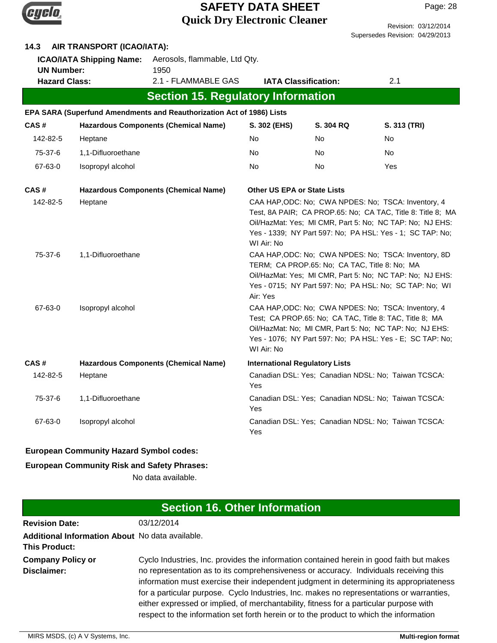

| AIR TRANSPORT (ICAO/IATA):<br>14.3                                           |                    |                                                                       |                                       |                                               |                                                                                                                                                                                                                                             |  |  |
|------------------------------------------------------------------------------|--------------------|-----------------------------------------------------------------------|---------------------------------------|-----------------------------------------------|---------------------------------------------------------------------------------------------------------------------------------------------------------------------------------------------------------------------------------------------|--|--|
| <b>ICAO/IATA Shipping Name:</b><br><b>UN Number:</b><br><b>Hazard Class:</b> |                    | Aerosols, flammable, Ltd Qty.<br>1950                                 | <b>IATA Classification:</b>           |                                               | 2.1                                                                                                                                                                                                                                         |  |  |
|                                                                              |                    | 2.1 - FLAMMABLE GAS                                                   |                                       |                                               |                                                                                                                                                                                                                                             |  |  |
|                                                                              |                    | <b>Section 15. Regulatory Information</b>                             |                                       |                                               |                                                                                                                                                                                                                                             |  |  |
|                                                                              |                    | EPA SARA (Superfund Amendments and Reauthorization Act of 1986) Lists |                                       |                                               |                                                                                                                                                                                                                                             |  |  |
| CAS#                                                                         |                    | <b>Hazardous Components (Chemical Name)</b>                           | S. 302 (EHS)                          | S. 304 RQ                                     | S. 313 (TRI)                                                                                                                                                                                                                                |  |  |
| 142-82-5                                                                     | Heptane            |                                                                       | No                                    | No                                            | <b>No</b>                                                                                                                                                                                                                                   |  |  |
| 75-37-6                                                                      | 1,1-Difluoroethane |                                                                       | No                                    | No.                                           | No.                                                                                                                                                                                                                                         |  |  |
| 67-63-0                                                                      | Isopropyl alcohol  |                                                                       | No                                    | No                                            | Yes                                                                                                                                                                                                                                         |  |  |
| CAS#                                                                         |                    | <b>Hazardous Components (Chemical Name)</b>                           | <b>Other US EPA or State Lists</b>    |                                               |                                                                                                                                                                                                                                             |  |  |
| 142-82-5                                                                     | Heptane            |                                                                       | WI Air: No                            |                                               | CAA HAP, ODC: No; CWA NPDES: No; TSCA: Inventory, 4<br>Test, 8A PAIR; CA PROP.65: No; CA TAC, Title 8: Title 8; MA<br>Oil/HazMat: Yes; MI CMR, Part 5: No; NC TAP: No; NJ EHS:<br>Yes - 1339; NY Part 597: No; PA HSL: Yes - 1; SC TAP: No; |  |  |
| 75-37-6                                                                      | 1,1-Difluoroethane |                                                                       | Air: Yes                              | TERM; CA PROP.65: No; CA TAC, Title 8: No; MA | CAA HAP, ODC: No; CWA NPDES: No; TSCA: Inventory, 8D<br>Oil/HazMat: Yes; MI CMR, Part 5: No; NC TAP: No; NJ EHS:<br>Yes - 0715; NY Part 597: No; PA HSL: No; SC TAP: No; WI                                                                 |  |  |
| 67-63-0                                                                      | Isopropyl alcohol  |                                                                       | WI Air: No                            |                                               | CAA HAP, ODC: No; CWA NPDES: No; TSCA: Inventory, 4<br>Test; CA PROP.65: No; CA TAC, Title 8: TAC, Title 8; MA<br>Oil/HazMat: No; MI CMR, Part 5: No; NC TAP: No; NJ EHS:<br>Yes - 1076; NY Part 597: No; PA HSL: Yes - E; SC TAP: No;      |  |  |
| CAS#                                                                         |                    | <b>Hazardous Components (Chemical Name)</b>                           | <b>International Regulatory Lists</b> |                                               |                                                                                                                                                                                                                                             |  |  |
| 142-82-5                                                                     | Heptane            |                                                                       | Yes                                   |                                               | Canadian DSL: Yes; Canadian NDSL: No; Taiwan TCSCA:                                                                                                                                                                                         |  |  |
| 75-37-6                                                                      | 1,1-Difluoroethane |                                                                       | Yes                                   |                                               | Canadian DSL: Yes; Canadian NDSL: No; Taiwan TCSCA:                                                                                                                                                                                         |  |  |
| 67-63-0                                                                      | Isopropyl alcohol  |                                                                       | Yes                                   |                                               | Canadian DSL: Yes; Canadian NDSL: No; Taiwan TCSCA:                                                                                                                                                                                         |  |  |

#### **European Community Hazard Symbol codes:**

#### **European Community Risk and Safety Phrases:**

No data available.

# **Section 16. Other Information**

| <b>Revision Date:</b>                                                   | 03/12/2014                                                                                                                                                                                                                                                                                                                                                                                                                                                                                                                                                   |
|-------------------------------------------------------------------------|--------------------------------------------------------------------------------------------------------------------------------------------------------------------------------------------------------------------------------------------------------------------------------------------------------------------------------------------------------------------------------------------------------------------------------------------------------------------------------------------------------------------------------------------------------------|
| Additional Information About No data available.<br><b>This Product:</b> |                                                                                                                                                                                                                                                                                                                                                                                                                                                                                                                                                              |
| <b>Company Policy or</b><br>Disclaimer:                                 | Cyclo Industries, Inc. provides the information contained herein in good faith but makes<br>no representation as to its comprehensiveness or accuracy. Individuals receiving this<br>information must exercise their independent judgment in determining its appropriateness<br>for a particular purpose. Cyclo Industries, Inc. makes no representations or warranties,<br>either expressed or implied, of merchantability, fitness for a particular purpose with<br>respect to the information set forth herein or to the product to which the information |